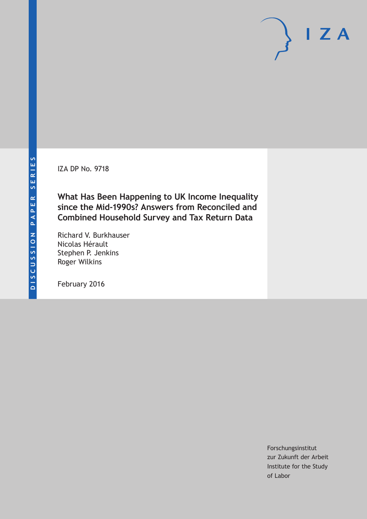IZA DP No. 9718

**What Has Been Happening to UK Income Inequality since the Mid-1990s? Answers from Reconciled and Combined Household Survey and Tax Return Data**

Richard V. Burkhauser Nicolas Hérault Stephen P. Jenkins Roger Wilkins

February 2016

Forschungsinstitut zur Zukunft der Arbeit Institute for the Study of Labor

 $I Z A$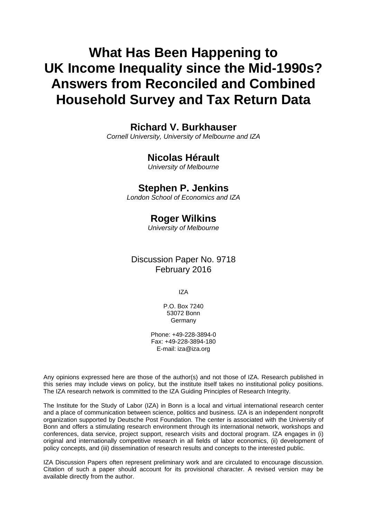# **What Has Been Happening to UK Income Inequality since the Mid-1990s? Answers from Reconciled and Combined Household Survey and Tax Return Data**

## **Richard V. Burkhauser**

*Cornell University, University of Melbourne and IZA* 

## **Nicolas Hérault**

*University of Melbourne* 

## **Stephen P. Jenkins**

*London School of Economics and IZA*

## **Roger Wilkins**

*University of Melbourne* 

Discussion Paper No. 9718 February 2016

IZA

P.O. Box 7240 53072 Bonn **Germany** 

Phone: +49-228-3894-0 Fax: +49-228-3894-180 E-mail: iza@iza.org

Any opinions expressed here are those of the author(s) and not those of IZA. Research published in this series may include views on policy, but the institute itself takes no institutional policy positions. The IZA research network is committed to the IZA Guiding Principles of Research Integrity.

The Institute for the Study of Labor (IZA) in Bonn is a local and virtual international research center and a place of communication between science, politics and business. IZA is an independent nonprofit organization supported by Deutsche Post Foundation. The center is associated with the University of Bonn and offers a stimulating research environment through its international network, workshops and conferences, data service, project support, research visits and doctoral program. IZA engages in (i) original and internationally competitive research in all fields of labor economics, (ii) development of policy concepts, and (iii) dissemination of research results and concepts to the interested public.

IZA Discussion Papers often represent preliminary work and are circulated to encourage discussion. Citation of such a paper should account for its provisional character. A revised version may be available directly from the author.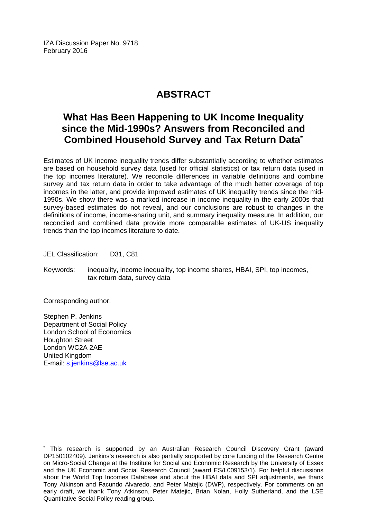IZA Discussion Paper No. 9718 February 2016

## **ABSTRACT**

## **What Has Been Happening to UK Income Inequality since the Mid-1990s? Answers from Reconciled and Combined Household Survey and Tax Return Data\***

Estimates of UK income inequality trends differ substantially according to whether estimates are based on household survey data (used for official statistics) or tax return data (used in the top incomes literature). We reconcile differences in variable definitions and combine survey and tax return data in order to take advantage of the much better coverage of top incomes in the latter, and provide improved estimates of UK inequality trends since the mid-1990s. We show there was a marked increase in income inequality in the early 2000s that survey-based estimates do not reveal, and our conclusions are robust to changes in the definitions of income, income-sharing unit, and summary inequality measure. In addition, our reconciled and combined data provide more comparable estimates of UK-US inequality trends than the top incomes literature to date.

JEL Classification: D31, C81

Keywords: inequality, income inequality, top income shares, HBAI, SPI, top incomes, tax return data, survey data

Corresponding author:

 $\overline{\phantom{a}}$ 

Stephen P. Jenkins Department of Social Policy London School of Economics Houghton Street London WC2A 2AE United Kingdom E-mail: s.jenkins@lse.ac.uk

<sup>\*</sup> This research is supported by an Australian Research Council Discovery Grant (award DP150102409). Jenkins's research is also partially supported by core funding of the Research Centre on Micro-Social Change at the Institute for Social and Economic Research by the University of Essex and the UK Economic and Social Research Council (award ES/L009153/1). For helpful discussions about the World Top Incomes Database and about the HBAI data and SPI adjustments, we thank Tony Atkinson and Facundo Alvaredo, and Peter Matejic (DWP), respectively. For comments on an early draft, we thank Tony Atkinson, Peter Matejic, Brian Nolan, Holly Sutherland, and the LSE Quantitative Social Policy reading group.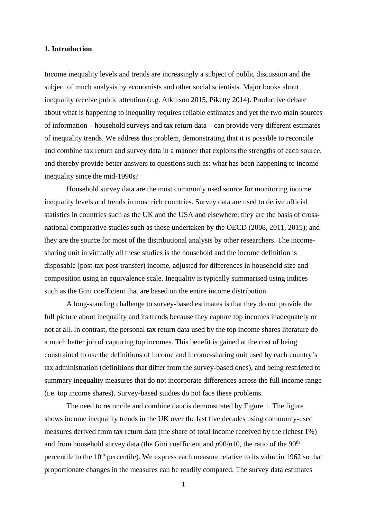#### **1. Introduction**

Income inequality levels and trends are increasingly a subject of public discussion and the subject of much analysis by economists and other social scientists. Major books about inequality receive public attention (e.g. Atkinson 2015, Piketty 2014). Productive debate about what is happening to inequality requires reliable estimates and yet the two main sources of information – household surveys and tax return data – can provide very different estimates of inequality trends. We address this problem, demonstrating that it is possible to reconcile and combine tax return and survey data in a manner that exploits the strengths of each source, and thereby provide better answers to questions such as: what has been happening to income inequality since the mid-1990s?

Household survey data are the most commonly used source for monitoring income inequality levels and trends in most rich countries. Survey data are used to derive official statistics in countries such as the UK and the USA and elsewhere; they are the basis of crossnational comparative studies such as those undertaken by the OECD (2008, 2011, 2015); and they are the source for most of the distributional analysis by other researchers. The incomesharing unit in virtually all these studies is the household and the income definition is disposable (post-tax post-transfer) income, adjusted for differences in household size and composition using an equivalence scale. Inequality is typically summarised using indices such as the Gini coefficient that are based on the entire income distribution.

A long-standing challenge to survey-based estimates is that they do not provide the full picture about inequality and its trends because they capture top incomes inadequately or not at all. In contrast, the personal tax return data used by the top income shares literature do a much better job of capturing top incomes. This benefit is gained at the cost of being constrained to use the definitions of income and income-sharing unit used by each country's tax administration (definitions that differ from the survey-based ones), and being restricted to summary inequality measures that do not incorporate differences across the full income range (i.e. top income shares). Survey-based studies do not face these problems.

 The need to reconcile and combine data is demonstrated by Figure 1. The figure shows income inequality trends in the UK over the last five decades using commonly-used measures derived from tax return data (the share of total income received by the richest 1%) and from household survey data (the Gini coefficient and  $p90/p10$ , the ratio of the  $90<sup>th</sup>$ percentile to the  $10<sup>th</sup>$  percentile). We express each measure relative to its value in 1962 so that proportionate changes in the measures can be readily compared. The survey data estimates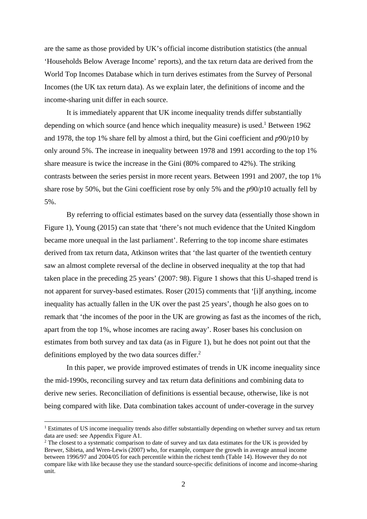are the same as those provided by UK's official income distribution statistics (the annual 'Households Below Average Income' reports), and the tax return data are derived from the World Top Incomes Database which in turn derives estimates from the Survey of Personal Incomes (the UK tax return data). As we explain later, the definitions of income and the income-sharing unit differ in each source.

 It is immediately apparent that UK income inequality trends differ substantially depending on which source (and hence which inequality measure) is used.<sup>1</sup> Between 1962 and 1978, the top 1% share fell by almost a third, but the Gini coefficient and *p*90/*p*10 by only around 5%. The increase in inequality between 1978 and 1991 according to the top 1% share measure is twice the increase in the Gini (80% compared to 42%). The striking contrasts between the series persist in more recent years. Between 1991 and 2007, the top 1% share rose by 50%, but the Gini coefficient rose by only 5% and the *p*90/*p*10 actually fell by 5%.

 By referring to official estimates based on the survey data (essentially those shown in Figure 1), Young (2015) can state that 'there's not much evidence that the United Kingdom became more unequal in the last parliament'. Referring to the top income share estimates derived from tax return data, Atkinson writes that 'the last quarter of the twentieth century saw an almost complete reversal of the decline in observed inequality at the top that had taken place in the preceding 25 years' (2007: 98). Figure 1 shows that this U-shaped trend is not apparent for survey-based estimates. Roser (2015) comments that '[i]f anything, income inequality has actually fallen in the UK over the past 25 years', though he also goes on to remark that 'the incomes of the poor in the UK are growing as fast as the incomes of the rich, apart from the top 1%, whose incomes are racing away'. Roser bases his conclusion on estimates from both survey and tax data (as in Figure 1), but he does not point out that the definitions employed by the two data sources differ.<sup>2</sup>

In this paper, we provide improved estimates of trends in UK income inequality since the mid-1990s, reconciling survey and tax return data definitions and combining data to derive new series. Reconciliation of definitions is essential because, otherwise, like is not being compared with like. Data combination takes account of under-coverage in the survey

<sup>&</sup>lt;sup>1</sup> Estimates of US income inequality trends also differ substantially depending on whether survey and tax return data are used: see Appendix Figure A1.

<sup>&</sup>lt;sup>2</sup> The closest to a systematic comparison to date of survey and tax data estimates for the UK is provided by Brewer, Sibieta, and Wren-Lewis (2007) who, for example, compare the growth in average annual income between 1996/97 and 2004/05 for each percentile within the richest tenth (Table 14). However they do not compare like with like because they use the standard source-specific definitions of income and income-sharing unit.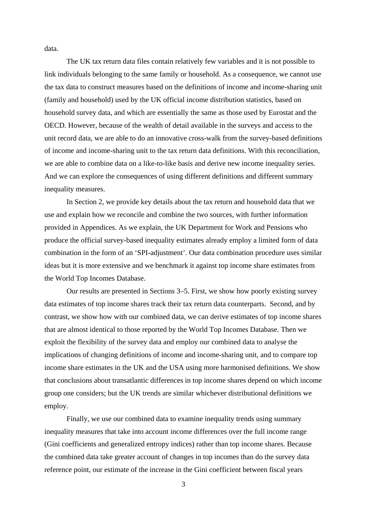data.

The UK tax return data files contain relatively few variables and it is not possible to link individuals belonging to the same family or household. As a consequence, we cannot use the tax data to construct measures based on the definitions of income and income-sharing unit (family and household) used by the UK official income distribution statistics, based on household survey data, and which are essentially the same as those used by Eurostat and the OECD. However, because of the wealth of detail available in the surveys and access to the unit record data, we are able to do an innovative cross-walk from the survey-based definitions of income and income-sharing unit to the tax return data definitions. With this reconciliation, we are able to combine data on a like-to-like basis and derive new income inequality series. And we can explore the consequences of using different definitions and different summary inequality measures.

In Section 2, we provide key details about the tax return and household data that we use and explain how we reconcile and combine the two sources, with further information provided in Appendices. As we explain, the UK Department for Work and Pensions who produce the official survey-based inequality estimates already employ a limited form of data combination in the form of an 'SPI-adjustment'. Our data combination procedure uses similar ideas but it is more extensive and we benchmark it against top income share estimates from the World Top Incomes Database.

Our results are presented in Sections 3–5. First, we show how poorly existing survey data estimates of top income shares track their tax return data counterparts. Second, and by contrast, we show how with our combined data, we can derive estimates of top income shares that are almost identical to those reported by the World Top Incomes Database. Then we exploit the flexibility of the survey data and employ our combined data to analyse the implications of changing definitions of income and income-sharing unit, and to compare top income share estimates in the UK and the USA using more harmonised definitions. We show that conclusions about transatlantic differences in top income shares depend on which income group one considers; but the UK trends are similar whichever distributional definitions we employ.

Finally, we use our combined data to examine inequality trends using summary inequality measures that take into account income differences over the full income range (Gini coefficients and generalized entropy indices) rather than top income shares. Because the combined data take greater account of changes in top incomes than do the survey data reference point, our estimate of the increase in the Gini coefficient between fiscal years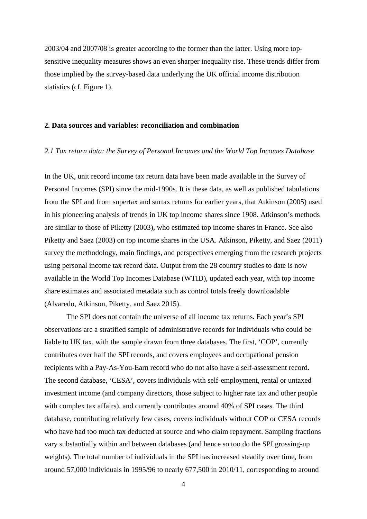2003/04 and 2007/08 is greater according to the former than the latter. Using more topsensitive inequality measures shows an even sharper inequality rise. These trends differ from those implied by the survey-based data underlying the UK official income distribution statistics (cf. Figure 1).

#### **2. Data sources and variables: reconciliation and combination**

#### *2.1 Tax return data: the Survey of Personal Incomes and the World Top Incomes Database*

In the UK, unit record income tax return data have been made available in the Survey of Personal Incomes (SPI) since the mid-1990s. It is these data, as well as published tabulations from the SPI and from supertax and surtax returns for earlier years, that Atkinson (2005) used in his pioneering analysis of trends in UK top income shares since 1908. Atkinson's methods are similar to those of Piketty (2003), who estimated top income shares in France. See also Piketty and Saez (2003) on top income shares in the USA. Atkinson, Piketty, and Saez (2011) survey the methodology, main findings, and perspectives emerging from the research projects using personal income tax record data. Output from the 28 country studies to date is now available in the World Top Incomes Database (WTID), updated each year, with top income share estimates and associated metadata such as control totals freely downloadable (Alvaredo, Atkinson, Piketty, and Saez 2015).

 The SPI does not contain the universe of all income tax returns. Each year's SPI observations are a stratified sample of administrative records for individuals who could be liable to UK tax, with the sample drawn from three databases. The first, 'COP', currently contributes over half the SPI records, and covers employees and occupational pension recipients with a Pay-As-You-Earn record who do not also have a self-assessment record. The second database, 'CESA', covers individuals with self-employment, rental or untaxed investment income (and company directors, those subject to higher rate tax and other people with complex tax affairs), and currently contributes around 40% of SPI cases. The third database, contributing relatively few cases, covers individuals without COP or CESA records who have had too much tax deducted at source and who claim repayment. Sampling fractions vary substantially within and between databases (and hence so too do the SPI grossing-up weights). The total number of individuals in the SPI has increased steadily over time, from around 57,000 individuals in 1995/96 to nearly 677,500 in 2010/11, corresponding to around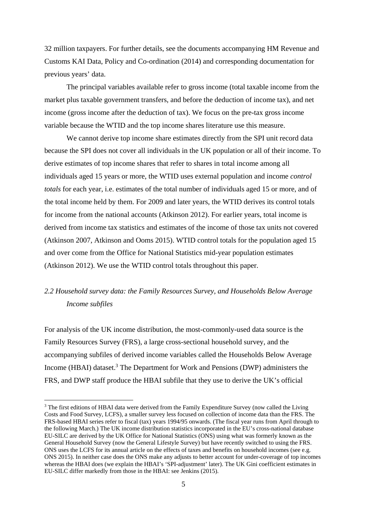32 million taxpayers. For further details, see the documents accompanying HM Revenue and Customs KAI Data, Policy and Co-ordination (2014) and corresponding documentation for previous years' data.

The principal variables available refer to gross income (total taxable income from the market plus taxable government transfers, and before the deduction of income tax), and net income (gross income after the deduction of tax). We focus on the pre-tax gross income variable because the WTID and the top income shares literature use this measure.

 We cannot derive top income share estimates directly from the SPI unit record data because the SPI does not cover all individuals in the UK population or all of their income. To derive estimates of top income shares that refer to shares in total income among all individuals aged 15 years or more, the WTID uses external population and income *control totals* for each year, i.e. estimates of the total number of individuals aged 15 or more, and of the total income held by them. For 2009 and later years, the WTID derives its control totals for income from the national accounts (Atkinson 2012). For earlier years, total income is derived from income tax statistics and estimates of the income of those tax units not covered (Atkinson 2007, Atkinson and Ooms 2015). WTID control totals for the population aged 15 and over come from the Office for National Statistics mid-year population estimates (Atkinson 2012). We use the WTID control totals throughout this paper.

## *2.2 Household survey data: the Family Resources Survey, and Households Below Average Income subfiles*

For analysis of the UK income distribution, the most-commonly-used data source is the Family Resources Survey (FRS), a large cross-sectional household survey, and the accompanying subfiles of derived income variables called the Households Below Average Income (HBAI) dataset.<sup>3</sup> The Department for Work and Pensions (DWP) administers the FRS, and DWP staff produce the HBAI subfile that they use to derive the UK's official

<sup>&</sup>lt;sup>3</sup> The first editions of HBAI data were derived from the Family Expenditure Survey (now called the Living Costs and Food Survey, LCFS), a smaller survey less focused on collection of income data than the FRS. The FRS-based HBAI series refer to fiscal (tax) years 1994/95 onwards. (The fiscal year runs from April through to the following March.) The UK income distribution statistics incorporated in the EU's cross-national database EU-SILC are derived by the UK Office for National Statistics (ONS) using what was formerly known as the General Household Survey (now the General Lifestyle Survey) but have recently switched to using the FRS. ONS uses the LCFS for its annual article on the effects of taxes and benefits on household incomes (see e.g. ONS 2015). In neither case does the ONS make any adjusts to better account for under-coverage of top incomes whereas the HBAI does (we explain the HBAI's 'SPI-adjustment' later). The UK Gini coefficient estimates in EU-SILC differ markedly from those in the HBAI: see Jenkins (2015).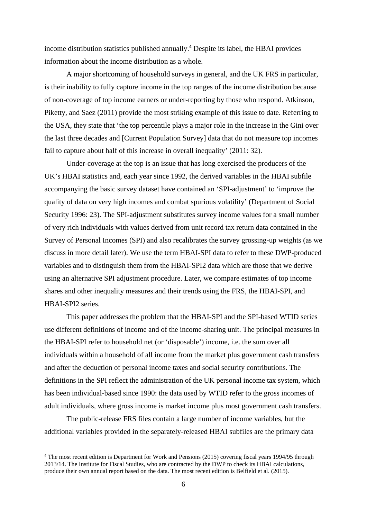income distribution statistics published annually.<sup>4</sup> Despite its label, the HBAI provides information about the income distribution as a whole.

A major shortcoming of household surveys in general, and the UK FRS in particular, is their inability to fully capture income in the top ranges of the income distribution because of non-coverage of top income earners or under-reporting by those who respond. Atkinson, Piketty, and Saez (2011) provide the most striking example of this issue to date. Referring to the USA, they state that 'the top percentile plays a major role in the increase in the Gini over the last three decades and [Current Population Survey] data that do not measure top incomes fail to capture about half of this increase in overall inequality' (2011: 32).

Under-coverage at the top is an issue that has long exercised the producers of the UK's HBAI statistics and, each year since 1992, the derived variables in the HBAI subfile accompanying the basic survey dataset have contained an 'SPI-adjustment' to 'improve the quality of data on very high incomes and combat spurious volatility' (Department of Social Security 1996: 23). The SPI-adjustment substitutes survey income values for a small number of very rich individuals with values derived from unit record tax return data contained in the Survey of Personal Incomes (SPI) and also recalibrates the survey grossing-up weights (as we discuss in more detail later). We use the term HBAI-SPI data to refer to these DWP-produced variables and to distinguish them from the HBAI-SPI2 data which are those that we derive using an alternative SPI adjustment procedure. Later, we compare estimates of top income shares and other inequality measures and their trends using the FRS, the HBAI-SPI, and HBAI-SPI2 series.

 This paper addresses the problem that the HBAI-SPI and the SPI-based WTID series use different definitions of income and of the income-sharing unit. The principal measures in the HBAI-SPI refer to household net (or 'disposable') income, i.e. the sum over all individuals within a household of all income from the market plus government cash transfers and after the deduction of personal income taxes and social security contributions. The definitions in the SPI reflect the administration of the UK personal income tax system, which has been individual-based since 1990: the data used by WTID refer to the gross incomes of adult individuals, where gross income is market income plus most government cash transfers.

The public-release FRS files contain a large number of income variables, but the additional variables provided in the separately-released HBAI subfiles are the primary data

<sup>4</sup> The most recent edition is Department for Work and Pensions (2015) covering fiscal years 1994/95 through 2013/14. The Institute for Fiscal Studies, who are contracted by the DWP to check its HBAI calculations, produce their own annual report based on the data. The most recent edition is Belfield et al. (2015).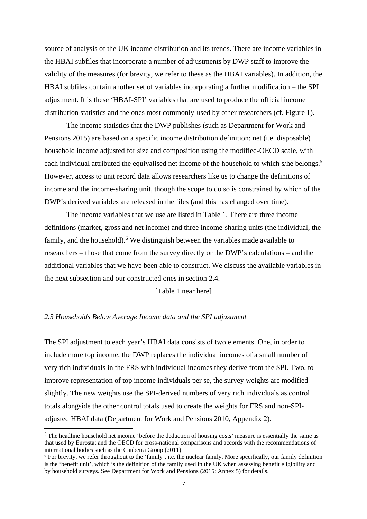source of analysis of the UK income distribution and its trends. There are income variables in the HBAI subfiles that incorporate a number of adjustments by DWP staff to improve the validity of the measures (for brevity, we refer to these as the HBAI variables). In addition, the HBAI subfiles contain another set of variables incorporating a further modification – the SPI adjustment. It is these 'HBAI-SPI' variables that are used to produce the official income distribution statistics and the ones most commonly-used by other researchers (cf. Figure 1).

The income statistics that the DWP publishes (such as Department for Work and Pensions 2015) are based on a specific income distribution definition: net (i.e. disposable) household income adjusted for size and composition using the modified-OECD scale, with each individual attributed the equivalised net income of the household to which s/he belongs.<sup>5</sup> However, access to unit record data allows researchers like us to change the definitions of income and the income-sharing unit, though the scope to do so is constrained by which of the DWP's derived variables are released in the files (and this has changed over time).

The income variables that we use are listed in Table 1. There are three income definitions (market, gross and net income) and three income-sharing units (the individual, the family, and the household). $6$  We distinguish between the variables made available to researchers – those that come from the survey directly or the DWP's calculations – and the additional variables that we have been able to construct. We discuss the available variables in the next subsection and our constructed ones in section 2.4.

[Table 1 near here]

#### *2.3 Households Below Average Income data and the SPI adjustment*

1

The SPI adjustment to each year's HBAI data consists of two elements. One, in order to include more top income, the DWP replaces the individual incomes of a small number of very rich individuals in the FRS with individual incomes they derive from the SPI. Two, to improve representation of top income individuals per se, the survey weights are modified slightly. The new weights use the SPI-derived numbers of very rich individuals as control totals alongside the other control totals used to create the weights for FRS and non-SPIadjusted HBAI data (Department for Work and Pensions 2010, Appendix 2).

<sup>&</sup>lt;sup>5</sup> The headline household net income 'before the deduction of housing costs' measure is essentially the same as that used by Eurostat and the OECD for cross-national comparisons and accords with the recommendations of international bodies such as the Canberra Group (2011).

<sup>&</sup>lt;sup>6</sup> For brevity, we refer throughout to the 'family', i.e. the nuclear family. More specifically, our family definition is the 'benefit unit', which is the definition of the family used in the UK when assessing benefit eligibility and by household surveys. See Department for Work and Pensions (2015: Annex 5) for details.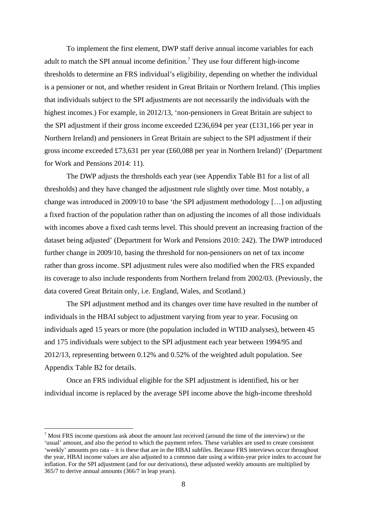To implement the first element, DWP staff derive annual income variables for each adult to match the SPI annual income definition.<sup>7</sup> They use four different high-income thresholds to determine an FRS individual's eligibility, depending on whether the individual is a pensioner or not, and whether resident in Great Britain or Northern Ireland. (This implies that individuals subject to the SPI adjustments are not necessarily the individuals with the highest incomes.) For example, in 2012/13, 'non-pensioners in Great Britain are subject to the SPI adjustment if their gross income exceeded £236,694 per year (£131,166 per year in Northern Ireland) and pensioners in Great Britain are subject to the SPI adjustment if their gross income exceeded £73,631 per year (£60,088 per year in Northern Ireland)' (Department for Work and Pensions 2014: 11).

The DWP adjusts the thresholds each year (see Appendix Table B1 for a list of all thresholds) and they have changed the adjustment rule slightly over time. Most notably, a change was introduced in 2009/10 to base 'the SPI adjustment methodology […] on adjusting a fixed fraction of the population rather than on adjusting the incomes of all those individuals with incomes above a fixed cash terms level. This should prevent an increasing fraction of the dataset being adjusted' (Department for Work and Pensions 2010: 242). The DWP introduced further change in 2009/10, basing the threshold for non-pensioners on net of tax income rather than gross income. SPI adjustment rules were also modified when the FRS expanded its coverage to also include respondents from Northern Ireland from 2002/03. (Previously, the data covered Great Britain only, i.e. England, Wales, and Scotland.)

The SPI adjustment method and its changes over time have resulted in the number of individuals in the HBAI subject to adjustment varying from year to year. Focusing on individuals aged 15 years or more (the population included in WTID analyses), between 45 and 175 individuals were subject to the SPI adjustment each year between 1994/95 and 2012/13, representing between 0.12% and 0.52% of the weighted adult population. See Appendix Table B2 for details.

Once an FRS individual eligible for the SPI adjustment is identified, his or her individual income is replaced by the average SPI income above the high-income threshold

<sup>&</sup>lt;sup>7</sup> Most FRS income questions ask about the amount last received (around the time of the interview) or the 'usual' amount, and also the period to which the payment refers. These variables are used to create consistent 'weekly' amounts pro rata – it is these that are in the HBAI subfiles. Because FRS interviews occur throughout the year, HBAI income values are also adjusted to a common date using a within-year price index to account for inflation. For the SPI adjustment (and for our derivations), these adjusted weekly amounts are multiplied by 365/7 to derive annual amounts (366/7 in leap years).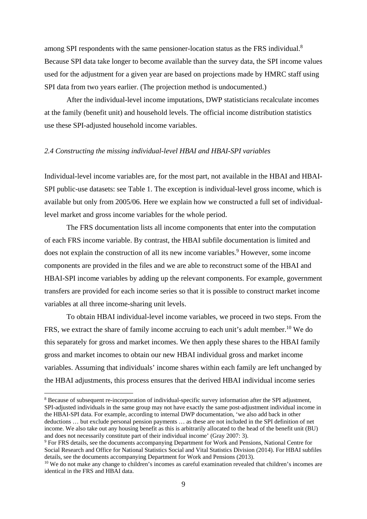among SPI respondents with the same pensioner-location status as the FRS individual.8 Because SPI data take longer to become available than the survey data, the SPI income values used for the adjustment for a given year are based on projections made by HMRC staff using SPI data from two years earlier. (The projection method is undocumented.)

After the individual-level income imputations, DWP statisticians recalculate incomes at the family (benefit unit) and household levels. The official income distribution statistics use these SPI-adjusted household income variables.

#### *2.4 Constructing the missing individual-level HBAI and HBAI-SPI variables*

Individual-level income variables are, for the most part, not available in the HBAI and HBAI-SPI public-use datasets: see Table 1. The exception is individual-level gross income, which is available but only from 2005/06. Here we explain how we constructed a full set of individuallevel market and gross income variables for the whole period.

The FRS documentation lists all income components that enter into the computation of each FRS income variable. By contrast, the HBAI subfile documentation is limited and does not explain the construction of all its new income variables.<sup>9</sup> However, some income components are provided in the files and we are able to reconstruct some of the HBAI and HBAI-SPI income variables by adding up the relevant components. For example, government transfers are provided for each income series so that it is possible to construct market income variables at all three income-sharing unit levels.

To obtain HBAI individual-level income variables, we proceed in two steps. From the FRS, we extract the share of family income accruing to each unit's adult member.<sup>10</sup> We do this separately for gross and market incomes. We then apply these shares to the HBAI family gross and market incomes to obtain our new HBAI individual gross and market income variables. Assuming that individuals' income shares within each family are left unchanged by the HBAI adjustments, this process ensures that the derived HBAI individual income series

<u>.</u>

<sup>&</sup>lt;sup>8</sup> Because of subsequent re-incorporation of individual-specific survey information after the SPI adjustment, SPI-adjusted individuals in the same group may not have exactly the same post-adjustment individual income in the HBAI-SPI data. For example, according to internal DWP documentation, 'we also add back in other deductions … but exclude personal pension payments … as these are not included in the SPI definition of net income. We also take out any housing benefit as this is arbitrarily allocated to the head of the benefit unit (BU) and does not necessarily constitute part of their individual income' (Gray 2007: 3).

<sup>&</sup>lt;sup>9</sup> For FRS details, see the documents accompanying Department for Work and Pensions, National Centre for Social Research and Office for National Statistics Social and Vital Statistics Division (2014). For HBAI subfiles details, see the documents accompanying Department for Work and Pensions (2013).<br><sup>10</sup> We do not make any change to children's incomes as careful examination revealed that children's incomes are

identical in the FRS and HBAI data.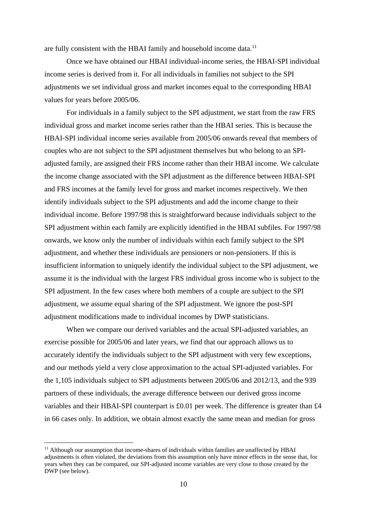are fully consistent with the HBAI family and household income data.<sup>11</sup>

Once we have obtained our HBAI individual-income series, the HBAI-SPI individual income series is derived from it. For all individuals in families not subject to the SPI adjustments we set individual gross and market incomes equal to the corresponding HBAI values for years before 2005/06.

For individuals in a family subject to the SPI adjustment, we start from the raw FRS individual gross and market income series rather than the HBAI series. This is because the HBAI-SPI individual income series available from 2005/06 onwards reveal that members of couples who are not subject to the SPI adjustment themselves but who belong to an SPIadjusted family, are assigned their FRS income rather than their HBAI income. We calculate the income change associated with the SPI adjustment as the difference between HBAI-SPI and FRS incomes at the family level for gross and market incomes respectively. We then identify individuals subject to the SPI adjustments and add the income change to their individual income. Before 1997/98 this is straightforward because individuals subject to the SPI adjustment within each family are explicitly identified in the HBAI subfiles. For 1997/98 onwards, we know only the number of individuals within each family subject to the SPI adjustment, and whether these individuals are pensioners or non-pensioners. If this is insufficient information to uniquely identify the individual subject to the SPI adjustment, we assume it is the individual with the largest FRS individual gross income who is subject to the SPI adjustment. In the few cases where both members of a couple are subject to the SPI adjustment, we assume equal sharing of the SPI adjustment. We ignore the post-SPI adjustment modifications made to individual incomes by DWP statisticians.

When we compare our derived variables and the actual SPI-adjusted variables, an exercise possible for 2005/06 and later years, we find that our approach allows us to accurately identify the individuals subject to the SPI adjustment with very few exceptions, and our methods yield a very close approximation to the actual SPI-adjusted variables. For the 1,105 individuals subject to SPI adjustments between 2005/06 and 2012/13, and the 939 partners of these individuals, the average difference between our derived gross income variables and their HBAI-SPI counterpart is £0.01 per week. The difference is greater than £4 in 66 cases only. In addition, we obtain almost exactly the same mean and median for gross

<u>.</u>

<sup>&</sup>lt;sup>11</sup> Although our assumption that income-shares of individuals within families are unaffected by HBAI adjustments is often violated, the deviations from this assumption only have minor effects in the sense that, for years when they can be compared, our SPI-adjusted income variables are very close to those created by the DWP (see below).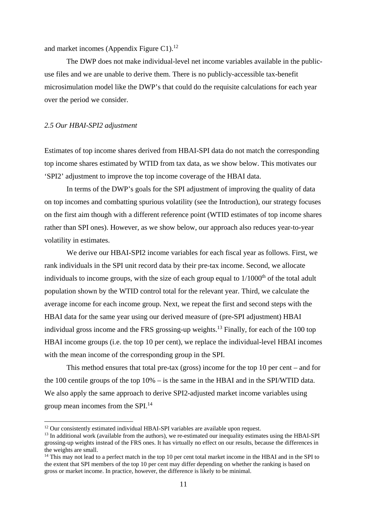and market incomes (Appendix Figure C1). $^{12}$ 

The DWP does not make individual-level net income variables available in the publicuse files and we are unable to derive them. There is no publicly-accessible tax-benefit microsimulation model like the DWP's that could do the requisite calculations for each year over the period we consider.

#### *2.5 Our HBAI-SPI2 adjustment*

1

Estimates of top income shares derived from HBAI-SPI data do not match the corresponding top income shares estimated by WTID from tax data, as we show below. This motivates our 'SPI2' adjustment to improve the top income coverage of the HBAI data.

In terms of the DWP's goals for the SPI adjustment of improving the quality of data on top incomes and combatting spurious volatility (see the Introduction), our strategy focuses on the first aim though with a different reference point (WTID estimates of top income shares rather than SPI ones). However, as we show below, our approach also reduces year-to-year volatility in estimates.

We derive our HBAI-SPI2 income variables for each fiscal year as follows. First, we rank individuals in the SPI unit record data by their pre-tax income. Second, we allocate individuals to income groups, with the size of each group equal to  $1/1000<sup>th</sup>$  of the total adult population shown by the WTID control total for the relevant year. Third, we calculate the average income for each income group. Next, we repeat the first and second steps with the HBAI data for the same year using our derived measure of (pre-SPI adjustment) HBAI individual gross income and the FRS grossing-up weights.<sup>13</sup> Finally, for each of the 100 top HBAI income groups (i.e. the top 10 per cent), we replace the individual-level HBAI incomes with the mean income of the corresponding group in the SPI.

This method ensures that total pre-tax (gross) income for the top 10 per cent – and for the 100 centile groups of the top 10% – is the same in the HBAI and in the SPI/WTID data. We also apply the same approach to derive SPI2-adjusted market income variables using group mean incomes from the SPI.14

 $12$  Our consistently estimated individual HBAI-SPI variables are available upon request.

<sup>&</sup>lt;sup>13</sup> In additional work (available from the authors), we re-estimated our inequality estimates using the HBAI-SPI grossing-up weights instead of the FRS ones. It has virtually no effect on our results, because the differences in the weights are small.

 $14$  This may not lead to a perfect match in the top 10 per cent total market income in the HBAI and in the SPI to the extent that SPI members of the top 10 per cent may differ depending on whether the ranking is based on gross or market income. In practice, however, the difference is likely to be minimal.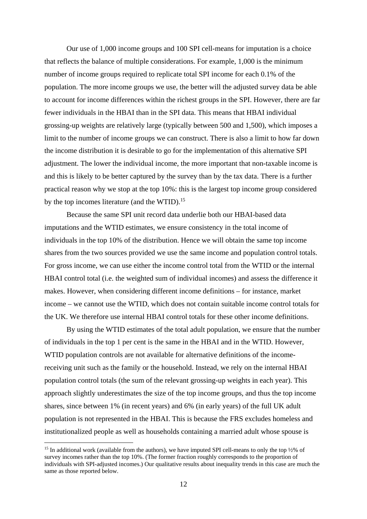Our use of 1,000 income groups and 100 SPI cell-means for imputation is a choice that reflects the balance of multiple considerations. For example, 1,000 is the minimum number of income groups required to replicate total SPI income for each 0.1% of the population. The more income groups we use, the better will the adjusted survey data be able to account for income differences within the richest groups in the SPI. However, there are far fewer individuals in the HBAI than in the SPI data. This means that HBAI individual grossing-up weights are relatively large (typically between 500 and 1,500), which imposes a limit to the number of income groups we can construct. There is also a limit to how far down the income distribution it is desirable to go for the implementation of this alternative SPI adjustment. The lower the individual income, the more important that non-taxable income is and this is likely to be better captured by the survey than by the tax data. There is a further practical reason why we stop at the top 10%: this is the largest top income group considered by the top incomes literature (and the WTID).<sup>15</sup>

Because the same SPI unit record data underlie both our HBAI-based data imputations and the WTID estimates, we ensure consistency in the total income of individuals in the top 10% of the distribution. Hence we will obtain the same top income shares from the two sources provided we use the same income and population control totals. For gross income, we can use either the income control total from the WTID or the internal HBAI control total (i.e. the weighted sum of individual incomes) and assess the difference it makes. However, when considering different income definitions – for instance, market income – we cannot use the WTID, which does not contain suitable income control totals for the UK. We therefore use internal HBAI control totals for these other income definitions.

By using the WTID estimates of the total adult population, we ensure that the number of individuals in the top 1 per cent is the same in the HBAI and in the WTID. However, WTID population controls are not available for alternative definitions of the incomereceiving unit such as the family or the household. Instead, we rely on the internal HBAI population control totals (the sum of the relevant grossing-up weights in each year). This approach slightly underestimates the size of the top income groups, and thus the top income shares, since between 1% (in recent years) and 6% (in early years) of the full UK adult population is not represented in the HBAI. This is because the FRS excludes homeless and institutionalized people as well as households containing a married adult whose spouse is

<u>.</u>

<sup>&</sup>lt;sup>15</sup> In additional work (available from the authors), we have imputed SPI cell-means to only the top  $\frac{1}{2}\%$  of survey incomes rather than the top 10%. (The former fraction roughly corresponds to the proportion of individuals with SPI-adjusted incomes.) Our qualitative results about inequality trends in this case are much the same as those reported below.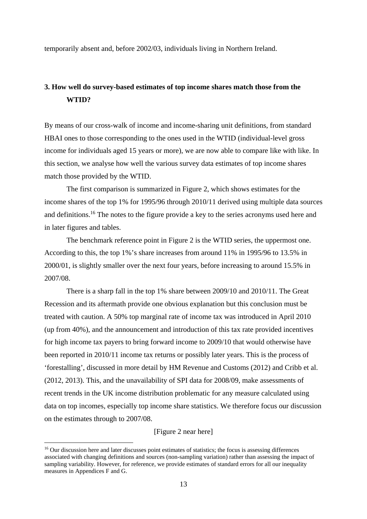temporarily absent and, before 2002/03, individuals living in Northern Ireland.

## **3. How well do survey-based estimates of top income shares match those from the WTID?**

By means of our cross-walk of income and income-sharing unit definitions, from standard HBAI ones to those corresponding to the ones used in the WTID (individual-level gross income for individuals aged 15 years or more), we are now able to compare like with like. In this section, we analyse how well the various survey data estimates of top income shares match those provided by the WTID.

 The first comparison is summarized in Figure 2, which shows estimates for the income shares of the top 1% for 1995/96 through 2010/11 derived using multiple data sources and definitions.16 The notes to the figure provide a key to the series acronyms used here and in later figures and tables.

The benchmark reference point in Figure 2 is the WTID series, the uppermost one. According to this, the top 1%'s share increases from around 11% in 1995/96 to 13.5% in 2000/01, is slightly smaller over the next four years, before increasing to around 15.5% in 2007/08.

There is a sharp fall in the top 1% share between 2009/10 and 2010/11. The Great Recession and its aftermath provide one obvious explanation but this conclusion must be treated with caution. A 50% top marginal rate of income tax was introduced in April 2010 (up from 40%), and the announcement and introduction of this tax rate provided incentives for high income tax payers to bring forward income to 2009/10 that would otherwise have been reported in 2010/11 income tax returns or possibly later years. This is the process of 'forestalling', discussed in more detail by HM Revenue and Customs (2012) and Cribb et al. (2012, 2013). This, and the unavailability of SPI data for 2008/09, make assessments of recent trends in the UK income distribution problematic for any measure calculated using data on top incomes, especially top income share statistics. We therefore focus our discussion on the estimates through to 2007/08.

[Figure 2 near here]

<u>.</u>

<sup>&</sup>lt;sup>16</sup> Our discussion here and later discusses point estimates of statistics; the focus is assessing differences associated with changing definitions and sources (non-sampling variation) rather than assessing the impact of sampling variability. However, for reference, we provide estimates of standard errors for all our inequality measures in Appendices F and G.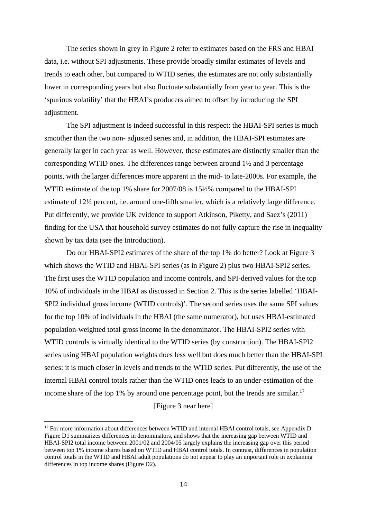The series shown in grey in Figure 2 refer to estimates based on the FRS and HBAI data, i.e. without SPI adjustments. These provide broadly similar estimates of levels and trends to each other, but compared to WTID series, the estimates are not only substantially lower in corresponding years but also fluctuate substantially from year to year. This is the 'spurious volatility' that the HBAI's producers aimed to offset by introducing the SPI adjustment.

The SPI adjustment is indeed successful in this respect: the HBAI-SPI series is much smoother than the two non- adjusted series and, in addition, the HBAI-SPI estimates are generally larger in each year as well. However, these estimates are distinctly smaller than the corresponding WTID ones. The differences range between around 1½ and 3 percentage points, with the larger differences more apparent in the mid- to late-2000s. For example, the WTID estimate of the top 1% share for 2007/08 is 15½% compared to the HBAI-SPI estimate of 12½ percent, i.e. around one-fifth smaller, which is a relatively large difference. Put differently, we provide UK evidence to support Atkinson, Piketty, and Saez's (2011) finding for the USA that household survey estimates do not fully capture the rise in inequality shown by tax data (see the Introduction).

Do our HBAI-SPI2 estimates of the share of the top 1% do better? Look at Figure 3 which shows the WTID and HBAI-SPI series (as in Figure 2) plus two HBAI-SPI2 series. The first uses the WTID population and income controls, and SPI-derived values for the top 10% of individuals in the HBAI as discussed in Section 2. This is the series labelled 'HBAI-SPI2 individual gross income (WTID controls)'. The second series uses the same SPI values for the top 10% of individuals in the HBAI (the same numerator), but uses HBAI-estimated population-weighted total gross income in the denominator. The HBAI-SPI2 series with WTID controls is virtually identical to the WTID series (by construction). The HBAI-SPI2 series using HBAI population weights does less well but does much better than the HBAI-SPI series: it is much closer in levels and trends to the WTID series. Put differently, the use of the internal HBAI control totals rather than the WTID ones leads to an under-estimation of the income share of the top 1% by around one percentage point, but the trends are similar.<sup>17</sup>

[Figure 3 near here]

<sup>&</sup>lt;sup>17</sup> For more information about differences between WTID and internal HBAI control totals, see Appendix D. Figure D1 summarizes differences in denominators, and shows that the increasing gap between WTID and HBAI-SPI2 total income between 2001/02 and 2004/05 largely explains the increasing gap over this period between top 1% income shares based on WTID and HBAI control totals. In contrast, differences in population control totals in the WTID and HBAI adult populations do not appear to play an important role in explaining differences in top income shares (Figure D2).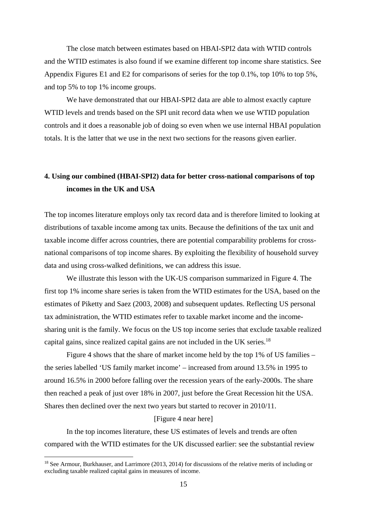The close match between estimates based on HBAI-SPI2 data with WTID controls and the WTID estimates is also found if we examine different top income share statistics. See Appendix Figures E1 and E2 for comparisons of series for the top 0.1%, top 10% to top 5%, and top 5% to top 1% income groups.

We have demonstrated that our HBAI-SPI2 data are able to almost exactly capture WTID levels and trends based on the SPI unit record data when we use WTID population controls and it does a reasonable job of doing so even when we use internal HBAI population totals. It is the latter that we use in the next two sections for the reasons given earlier.

## **4. Using our combined (HBAI-SPI2) data for better cross-national comparisons of top incomes in the UK and USA**

The top incomes literature employs only tax record data and is therefore limited to looking at distributions of taxable income among tax units. Because the definitions of the tax unit and taxable income differ across countries, there are potential comparability problems for crossnational comparisons of top income shares. By exploiting the flexibility of household survey data and using cross-walked definitions, we can address this issue.

We illustrate this lesson with the UK-US comparison summarized in Figure 4. The first top 1% income share series is taken from the WTID estimates for the USA, based on the estimates of Piketty and Saez (2003, 2008) and subsequent updates. Reflecting US personal tax administration, the WTID estimates refer to taxable market income and the incomesharing unit is the family. We focus on the US top income series that exclude taxable realized capital gains, since realized capital gains are not included in the UK series.<sup>18</sup>

Figure 4 shows that the share of market income held by the top 1% of US families – the series labelled 'US family market income' – increased from around 13.5% in 1995 to around 16.5% in 2000 before falling over the recession years of the early-2000s. The share then reached a peak of just over 18% in 2007, just before the Great Recession hit the USA. Shares then declined over the next two years but started to recover in 2010/11.

#### [Figure 4 near here]

In the top incomes literature, these US estimates of levels and trends are often compared with the WTID estimates for the UK discussed earlier: see the substantial review

<sup>18</sup> See Armour, Burkhauser, and Larrimore (2013, 2014) for discussions of the relative merits of including or excluding taxable realized capital gains in measures of income.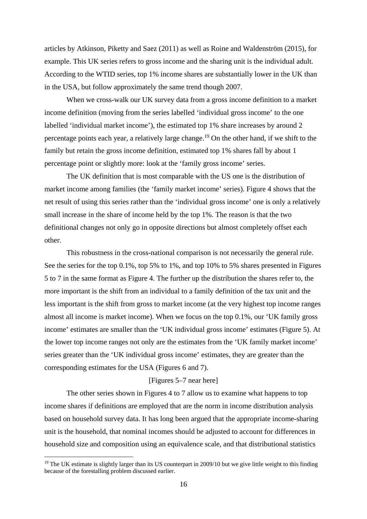articles by Atkinson, Piketty and Saez (2011) as well as Roine and Waldenström (2015), for example. This UK series refers to gross income and the sharing unit is the individual adult. According to the WTID series, top 1% income shares are substantially lower in the UK than in the USA, but follow approximately the same trend though 2007.

When we cross-walk our UK survey data from a gross income definition to a market income definition (moving from the series labelled 'individual gross income' to the one labelled 'individual market income'), the estimated top 1% share increases by around 2 percentage points each year, a relatively large change.<sup>19</sup> On the other hand, if we shift to the family but retain the gross income definition, estimated top 1% shares fall by about 1 percentage point or slightly more: look at the 'family gross income' series.

The UK definition that is most comparable with the US one is the distribution of market income among families (the 'family market income' series). Figure 4 shows that the net result of using this series rather than the 'individual gross income' one is only a relatively small increase in the share of income held by the top 1%. The reason is that the two definitional changes not only go in opposite directions but almost completely offset each other.

This robustness in the cross-national comparison is not necessarily the general rule. See the series for the top 0.1%, top 5% to 1%, and top 10% to 5% shares presented in Figures 5 to 7 in the same format as Figure 4. The further up the distribution the shares refer to, the more important is the shift from an individual to a family definition of the tax unit and the less important is the shift from gross to market income (at the very highest top income ranges almost all income is market income). When we focus on the top 0.1%, our 'UK family gross income' estimates are smaller than the 'UK individual gross income' estimates (Figure 5). At the lower top income ranges not only are the estimates from the 'UK family market income' series greater than the 'UK individual gross income' estimates, they are greater than the corresponding estimates for the USA (Figures 6 and 7).

#### [Figures 5–7 near here]

The other series shown in Figures 4 to 7 allow us to examine what happens to top income shares if definitions are employed that are the norm in income distribution analysis based on household survey data. It has long been argued that the appropriate income-sharing unit is the household, that nominal incomes should be adjusted to account for differences in household size and composition using an equivalence scale, and that distributional statistics

 $19$  The UK estimate is slightly larger than its US counterpart in 2009/10 but we give little weight to this finding because of the forestalling problem discussed earlier.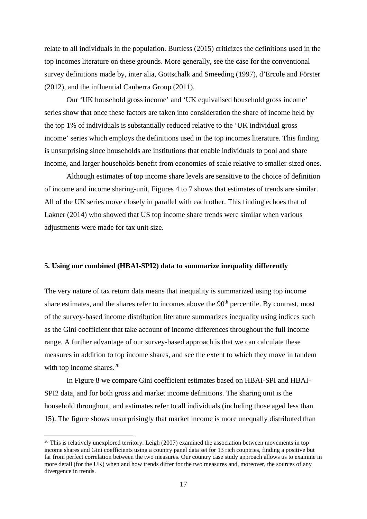relate to all individuals in the population. Burtless (2015) criticizes the definitions used in the top incomes literature on these grounds. More generally, see the case for the conventional survey definitions made by, inter alia, Gottschalk and Smeeding (1997), d'Ercole and Förster (2012), and the influential Canberra Group (2011).

Our 'UK household gross income' and 'UK equivalised household gross income' series show that once these factors are taken into consideration the share of income held by the top 1% of individuals is substantially reduced relative to the 'UK individual gross income' series which employs the definitions used in the top incomes literature. This finding is unsurprising since households are institutions that enable individuals to pool and share income, and larger households benefit from economies of scale relative to smaller-sized ones.

Although estimates of top income share levels are sensitive to the choice of definition of income and income sharing-unit, Figures 4 to 7 shows that estimates of trends are similar. All of the UK series move closely in parallel with each other. This finding echoes that of Lakner (2014) who showed that US top income share trends were similar when various adjustments were made for tax unit size.

#### **5. Using our combined (HBAI-SPI2) data to summarize inequality differently**

The very nature of tax return data means that inequality is summarized using top income share estimates, and the shares refer to incomes above the  $90<sup>th</sup>$  percentile. By contrast, most of the survey-based income distribution literature summarizes inequality using indices such as the Gini coefficient that take account of income differences throughout the full income range. A further advantage of our survey-based approach is that we can calculate these measures in addition to top income shares, and see the extent to which they move in tandem with top income shares. $20$ 

In Figure 8 we compare Gini coefficient estimates based on HBAI-SPI and HBAI-SPI2 data, and for both gross and market income definitions. The sharing unit is the household throughout, and estimates refer to all individuals (including those aged less than 15). The figure shows unsurprisingly that market income is more unequally distributed than

<sup>&</sup>lt;sup>20</sup> This is relatively unexplored territory. Leigh (2007) examined the association between movements in top income shares and Gini coefficients using a country panel data set for 13 rich countries, finding a positive but far from perfect correlation between the two measures. Our country case study approach allows us to examine in more detail (for the UK) when and how trends differ for the two measures and, moreover, the sources of any divergence in trends.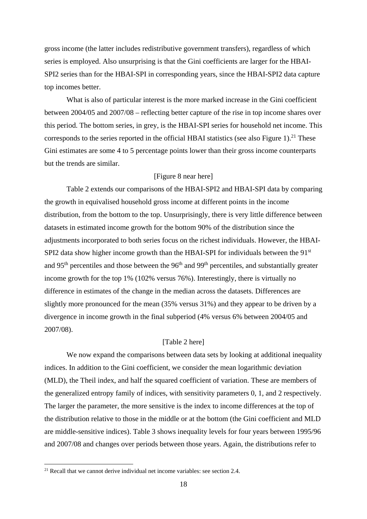gross income (the latter includes redistributive government transfers), regardless of which series is employed. Also unsurprising is that the Gini coefficients are larger for the HBAI-SPI2 series than for the HBAI-SPI in corresponding years, since the HBAI-SPI2 data capture top incomes better.

What is also of particular interest is the more marked increase in the Gini coefficient between 2004/05 and 2007/08 – reflecting better capture of the rise in top income shares over this period. The bottom series, in grey, is the HBAI-SPI series for household net income. This corresponds to the series reported in the official HBAI statistics (see also Figure 1).<sup>21</sup> These Gini estimates are some 4 to 5 percentage points lower than their gross income counterparts but the trends are similar.

#### [Figure 8 near here]

Table 2 extends our comparisons of the HBAI-SPI2 and HBAI-SPI data by comparing the growth in equivalised household gross income at different points in the income distribution, from the bottom to the top. Unsurprisingly, there is very little difference between datasets in estimated income growth for the bottom 90% of the distribution since the adjustments incorporated to both series focus on the richest individuals. However, the HBAI-SPI2 data show higher income growth than the HBAI-SPI for individuals between the 91<sup>st</sup> and 95<sup>th</sup> percentiles and those between the 96<sup>th</sup> and 99<sup>th</sup> percentiles, and substantially greater income growth for the top 1% (102% versus 76%). Interestingly, there is virtually no difference in estimates of the change in the median across the datasets. Differences are slightly more pronounced for the mean (35% versus 31%) and they appear to be driven by a divergence in income growth in the final subperiod (4% versus 6% between 2004/05 and 2007/08).

#### [Table 2 here]

We now expand the comparisons between data sets by looking at additional inequality indices. In addition to the Gini coefficient, we consider the mean logarithmic deviation (MLD), the Theil index, and half the squared coefficient of variation. These are members of the generalized entropy family of indices, with sensitivity parameters 0, 1, and 2 respectively. The larger the parameter, the more sensitive is the index to income differences at the top of the distribution relative to those in the middle or at the bottom (the Gini coefficient and MLD are middle-sensitive indices). Table 3 shows inequality levels for four years between 1995/96 and 2007/08 and changes over periods between those years. Again, the distributions refer to

<u>.</u>

 $21$  Recall that we cannot derive individual net income variables: see section 2.4.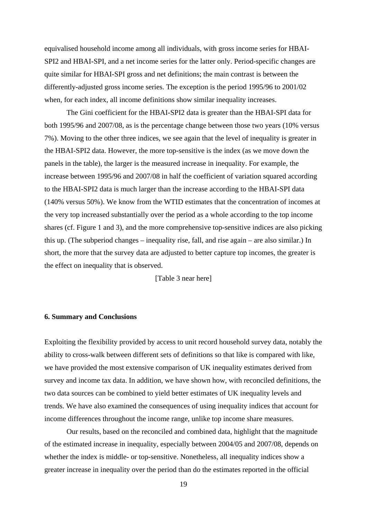equivalised household income among all individuals, with gross income series for HBAI-SPI2 and HBAI-SPI, and a net income series for the latter only. Period-specific changes are quite similar for HBAI-SPI gross and net definitions; the main contrast is between the differently-adjusted gross income series. The exception is the period 1995/96 to 2001/02 when, for each index, all income definitions show similar inequality increases.

The Gini coefficient for the HBAI-SPI2 data is greater than the HBAI-SPI data for both 1995/96 and 2007/08, as is the percentage change between those two years (10% versus 7%). Moving to the other three indices, we see again that the level of inequality is greater in the HBAI-SPI2 data. However, the more top-sensitive is the index (as we move down the panels in the table), the larger is the measured increase in inequality. For example, the increase between 1995/96 and 2007/08 in half the coefficient of variation squared according to the HBAI-SPI2 data is much larger than the increase according to the HBAI-SPI data (140% versus 50%). We know from the WTID estimates that the concentration of incomes at the very top increased substantially over the period as a whole according to the top income shares (cf. Figure 1 and 3), and the more comprehensive top-sensitive indices are also picking this up. (The subperiod changes – inequality rise, fall, and rise again – are also similar.) In short, the more that the survey data are adjusted to better capture top incomes, the greater is the effect on inequality that is observed.

[Table 3 near here]

#### **6. Summary and Conclusions**

Exploiting the flexibility provided by access to unit record household survey data, notably the ability to cross-walk between different sets of definitions so that like is compared with like, we have provided the most extensive comparison of UK inequality estimates derived from survey and income tax data. In addition, we have shown how, with reconciled definitions, the two data sources can be combined to yield better estimates of UK inequality levels and trends. We have also examined the consequences of using inequality indices that account for income differences throughout the income range, unlike top income share measures.

Our results, based on the reconciled and combined data, highlight that the magnitude of the estimated increase in inequality, especially between 2004/05 and 2007/08, depends on whether the index is middle- or top-sensitive. Nonetheless, all inequality indices show a greater increase in inequality over the period than do the estimates reported in the official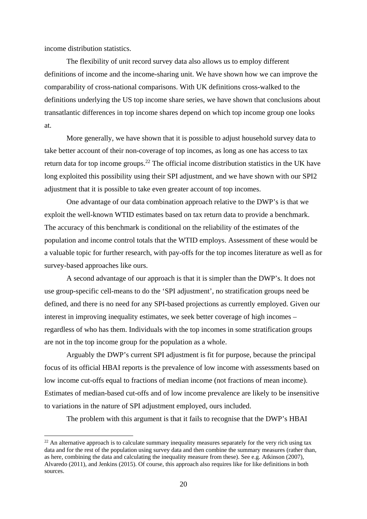income distribution statistics.

1

The flexibility of unit record survey data also allows us to employ different definitions of income and the income-sharing unit. We have shown how we can improve the comparability of cross-national comparisons. With UK definitions cross-walked to the definitions underlying the US top income share series, we have shown that conclusions about transatlantic differences in top income shares depend on which top income group one looks at.

More generally, we have shown that it is possible to adjust household survey data to take better account of their non-coverage of top incomes, as long as one has access to tax return data for top income groups.<sup>22</sup> The official income distribution statistics in the UK have long exploited this possibility using their SPI adjustment, and we have shown with our SPI2 adjustment that it is possible to take even greater account of top incomes.

One advantage of our data combination approach relative to the DWP's is that we exploit the well-known WTID estimates based on tax return data to provide a benchmark. The accuracy of this benchmark is conditional on the reliability of the estimates of the population and income control totals that the WTID employs. Assessment of these would be a valuable topic for further research, with pay-offs for the top incomes literature as well as for survey-based approaches like ours.

A second advantage of our approach is that it is simpler than the DWP's. It does not use group-specific cell-means to do the 'SPI adjustment', no stratification groups need be defined, and there is no need for any SPI-based projections as currently employed. Given our interest in improving inequality estimates, we seek better coverage of high incomes – regardless of who has them. Individuals with the top incomes in some stratification groups are not in the top income group for the population as a whole.

Arguably the DWP's current SPI adjustment is fit for purpose, because the principal focus of its official HBAI reports is the prevalence of low income with assessments based on low income cut-offs equal to fractions of median income (not fractions of mean income). Estimates of median-based cut-offs and of low income prevalence are likely to be insensitive to variations in the nature of SPI adjustment employed, ours included.

The problem with this argument is that it fails to recognise that the DWP's HBAI

 $^{22}$  An alternative approach is to calculate summary inequality measures separately for the very rich using tax data and for the rest of the population using survey data and then combine the summary measures (rather than, as here, combining the data and calculating the inequality measure from these). See e.g. Atkinson (2007), Alvaredo (2011), and Jenkins (2015). Of course, this approach also requires like for like definitions in both sources.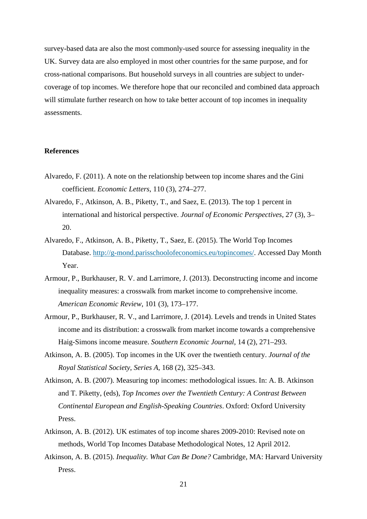survey-based data are also the most commonly-used source for assessing inequality in the UK. Survey data are also employed in most other countries for the same purpose, and for cross-national comparisons. But household surveys in all countries are subject to undercoverage of top incomes. We therefore hope that our reconciled and combined data approach will stimulate further research on how to take better account of top incomes in inequality assessments.

#### **References**

- Alvaredo, F. (2011). A note on the relationship between top income shares and the Gini coefficient. *Economic Letters*, 110 (3), 274–277.
- Alvaredo, F., Atkinson, A. B., Piketty, T., and Saez, E. (2013). The top 1 percent in international and historical perspective. *Journal of Economic Perspectives*, 27 (3), 3– 20.
- Alvaredo, F., Atkinson, A. B., Piketty, T., Saez, E. (2015). The World Top Incomes Database. http://g-mond.parisschoolofeconomics.eu/topincomes/. Accessed Day Month Year.
- Armour, P., Burkhauser, R. V. and Larrimore, J. (2013). Deconstructing income and income inequality measures: a crosswalk from market income to comprehensive income. *American Economic Review*, 101 (3), 173–177.
- Armour, P., Burkhauser, R. V., and Larrimore, J. (2014). Levels and trends in United States income and its distribution: a crosswalk from market income towards a comprehensive Haig-Simons income measure. *Southern Economic Journal*, 14 (2), 271–293.
- Atkinson, A. B. (2005). Top incomes in the UK over the twentieth century. *Journal of the Royal Statistical Society*, *Series A*, 168 (2), 325–343.
- Atkinson, A. B. (2007). Measuring top incomes: methodological issues. In: A. B. Atkinson and T. Piketty, (eds), *Top Incomes over the Twentieth Century: A Contrast Between Continental European and English-Speaking Countries*. Oxford: Oxford University Press.
- Atkinson, A. B. (2012). UK estimates of top income shares 2009-2010: Revised note on methods, World Top Incomes Database Methodological Notes, 12 April 2012.
- Atkinson, A. B. (2015). *Inequality. What Can Be Done?* Cambridge, MA: Harvard University Press.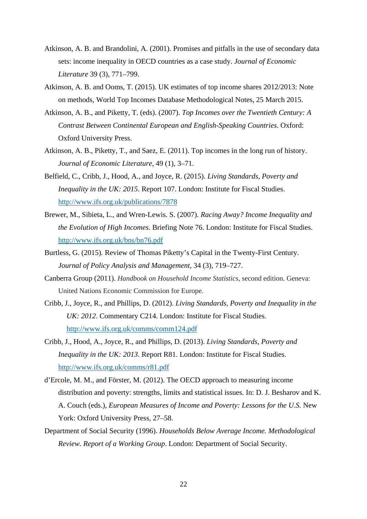- Atkinson, A. B. and Brandolini, A. (2001). Promises and pitfalls in the use of secondary data sets: income inequality in OECD countries as a case study. *Journal of Economic Literature* 39 (3), 771–799.
- Atkinson, A. B. and Ooms, T. (2015). UK estimates of top income shares 2012/2013: Note on methods, World Top Incomes Database Methodological Notes, 25 March 2015.
- Atkinson, A. B., and Piketty, T. (eds). (2007). *Top Incomes over the Twentieth Century: A Contrast Between Continental European and English-Speaking Countries*. Oxford: Oxford University Press.
- Atkinson, A. B., Piketty, T., and Saez, E. (2011). Top incomes in the long run of history. *Journal of Economic Literature*, 49 (1), 3–71.
- Belfield, C., Cribb, J., Hood, A., and Joyce, R. (2015). *Living Standards, Poverty and Inequality in the UK: 2015*. Report 107. London: Institute for Fiscal Studies. http://www.ifs.org.uk/publications/7878
- Brewer, M., Sibieta, L., and Wren-Lewis. S. (2007). *Racing Away? Income Inequality and the Evolution of High Incomes*. Briefing Note 76. London: Institute for Fiscal Studies. http://www.ifs.org.uk/bns/bn76.pdf
- Burtless, G. (2015). Review of Thomas Piketty's Capital in the Twenty-First Century. *Journal of Policy Analysis and Management*, 34 (3), 719–727.
- Canberra Group (2011). *Handbook on Household Income Statistics*, second edition. Geneva: United Nations Economic Commission for Europe.
- Cribb, J., Joyce, R., and Phillips, D. (2012). *Living Standards, Poverty and Inequality in the UK: 2012*. Commentary C214. London: Institute for Fiscal Studies. http://www.ifs.org.uk/comms/comm124.pdf
- Cribb, J., Hood, A., Joyce, R., and Phillips, D. (2013). *Living Standards, Poverty and Inequality in the UK: 2013*. Report R81. London: Institute for Fiscal Studies. http://www.ifs.org.uk/comms/r81.pdf
- d'Ercole, M. M., and Förster, M. (2012). The OECD approach to measuring income distribution and poverty: strengths, limits and statistical issues. In: D. J. Besharov and K. A. Couch (eds.), *European Measures of Income and Poverty: Lessons for the U.S.* New York: Oxford University Press, 27–58.
- Department of Social Security (1996). *Households Below Average Income. Methodological Review. Report of a Working Group*. London: Department of Social Security.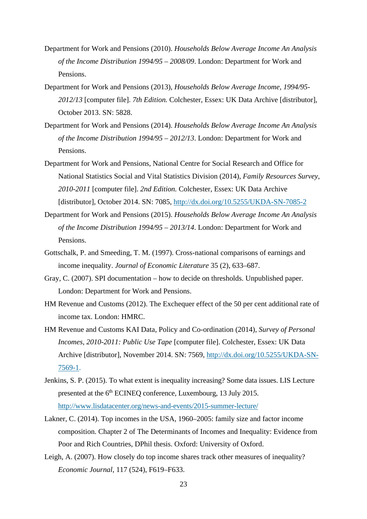- Department for Work and Pensions (2010). *Households Below Average Income An Analysis of the Income Distribution 1994/95 – 2008/09*. London: Department for Work and Pensions.
- Department for Work and Pensions (2013), *Households Below Average Income, 1994/95- 2012/13* [computer file]. *7th Edition.* Colchester, Essex: UK Data Archive [distributor], October 2013. SN: 5828.
- Department for Work and Pensions (2014). *Households Below Average Income An Analysis of the Income Distribution 1994/95 – 2012/13*. London: Department for Work and Pensions.
- Department for Work and Pensions, National Centre for Social Research and Office for National Statistics Social and Vital Statistics Division (2014), *Family Resources Survey, 2010-2011* [computer file]. *2nd Edition.* Colchester, Essex: UK Data Archive [distributor], October 2014. SN: 7085, http://dx.doi.org/10.5255/UKDA-SN-7085-2
- Department for Work and Pensions (2015). *Households Below Average Income An Analysis of the Income Distribution 1994/95 – 2013/14*. London: Department for Work and Pensions.
- Gottschalk, P. and Smeeding, T. M. (1997). Cross-national comparisons of earnings and income inequality. *Journal of Economic Literature* 35 (2), 633–687.
- Gray, C. (2007). SPI documentation how to decide on thresholds. Unpublished paper. London: Department for Work and Pensions.
- HM Revenue and Customs (2012). The Exchequer effect of the 50 per cent additional rate of income tax. London: HMRC.
- HM Revenue and Customs KAI Data, Policy and Co-ordination (2014), *Survey of Personal Incomes, 2010-2011: Public Use Tape* [computer file]. Colchester, Essex: UK Data Archive [distributor], November 2014. SN: 7569, http://dx.doi.org/10.5255/UKDA-SN-7569-1.
- Jenkins, S. P. (2015). To what extent is inequality increasing? Some data issues. LIS Lecture presented at the 6<sup>th</sup> ECINEQ conference, Luxembourg, 13 July 2015. http://www.lisdatacenter.org/news-and-events/2015-summer-lecture/
- Lakner, C. (2014). Top incomes in the USA, 1960–2005: family size and factor income composition. Chapter 2 of The Determinants of Incomes and Inequality: Evidence from Poor and Rich Countries, DPhil thesis. Oxford: University of Oxford.
- Leigh, A. (2007). How closely do top income shares track other measures of inequality? *Economic Journal*, 117 (524), F619–F633.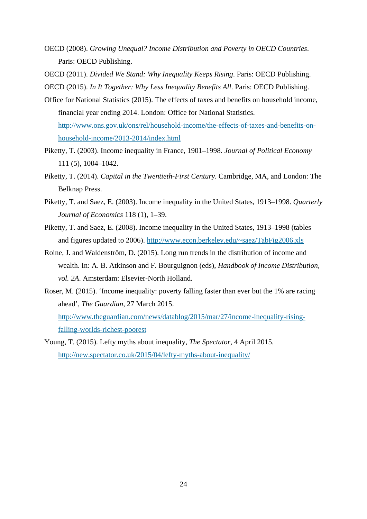- OECD (2008). *Growing Unequal? Income Distribution and Poverty in OECD Countries*. Paris: OECD Publishing.
- OECD (2011). *Divided We Stand: Why Inequality Keeps Rising*. Paris: OECD Publishing.

OECD (2015). *In It Together: Why Less Inequality Benefits All*. Paris: OECD Publishing.

- Office for National Statistics (2015). The effects of taxes and benefits on household income, financial year ending 2014. London: Office for National Statistics. http://www.ons.gov.uk/ons/rel/household-income/the-effects-of-taxes-and-benefits-onhousehold-income/2013-2014/index.html
- Piketty, T. (2003). Income inequality in France, 1901–1998. *Journal of Political Economy* 111 (5), 1004–1042.
- Piketty, T. (2014). *Capital in the Twentieth-First Century*. Cambridge, MA, and London: The Belknap Press.
- Piketty, T. and Saez, E. (2003). Income inequality in the United States, 1913–1998. *Quarterly Journal of Economics* 118 (1), 1–39.
- Piketty, T. and Saez, E. (2008). Income inequality in the United States, 1913–1998 (tables and figures updated to 2006). http://www.econ.berkeley.edu/~saez/TabFig2006.xls
- Roine, J. and Waldenström, D. (2015). Long run trends in the distribution of income and wealth. In: A. B. Atkinson and F. Bourguignon (eds), *Handbook of Income Distribution, vol. 2A*. Amsterdam: Elsevier-North Holland.
- Roser, M. (2015). 'Income inequality: poverty falling faster than ever but the 1% are racing ahead', *The Guardian*, 27 March 2015. http://www.theguardian.com/news/datablog/2015/mar/27/income-inequality-risingfalling-worlds-richest-poorest
- Young, T. (2015). Lefty myths about inequality, *The Spectator*, 4 April 2015. http://new.spectator.co.uk/2015/04/lefty-myths-about-inequality/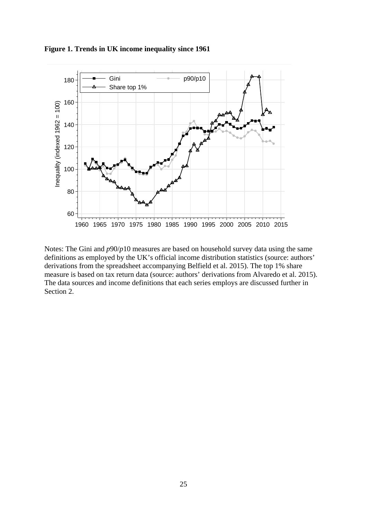

**Figure 1. Trends in UK income inequality since 1961** 

Notes: The Gini and *p*90/*p*10 measures are based on household survey data using the same definitions as employed by the UK's official income distribution statistics (source: authors' derivations from the spreadsheet accompanying Belfield et al. 2015). The top 1% share measure is based on tax return data (source: authors' derivations from Alvaredo et al. 2015). The data sources and income definitions that each series employs are discussed further in Section 2.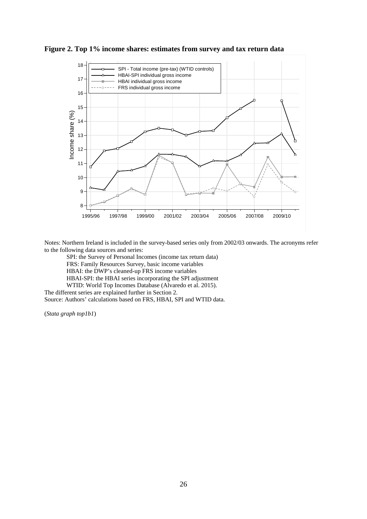



Notes: Northern Ireland is included in the survey-based series only from 2002/03 onwards. The acronyms refer to the following data sources and series:

SPI: the Survey of Personal Incomes (income tax return data) FRS: Family Resources Survey, basic income variables HBAI: the DWP's cleaned-up FRS income variables HBAI-SPI: the HBAI series incorporating the SPI adjustment WTID: World Top Incomes Database (Alvaredo et al. 2015).

The different series are explained further in Section 2.

Source: Authors' calculations based on FRS, HBAI, SPI and WTID data.

(*Stata graph top1b1*)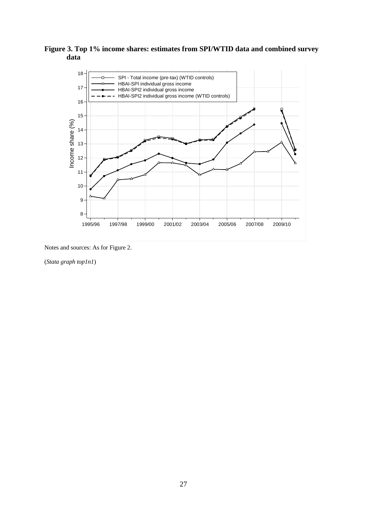



Notes and sources: As for Figure 2.

(*Stata graph top1n1*)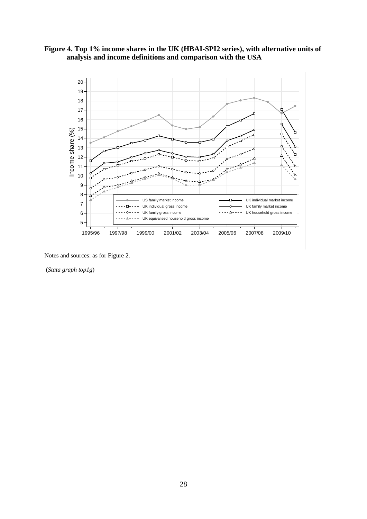



(*Stata graph top1g*)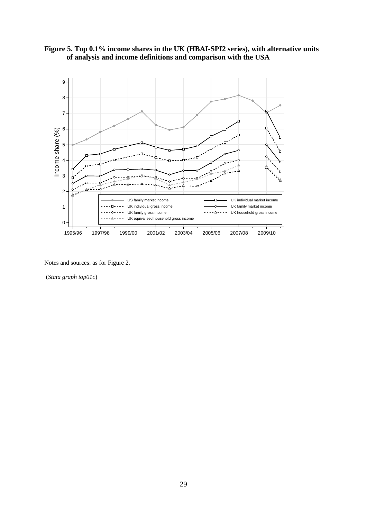



(*Stata graph top01c*)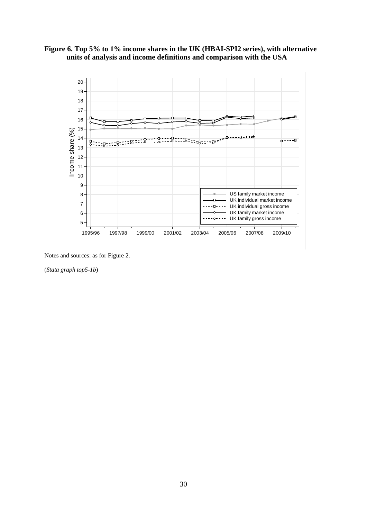



(*Stata graph top5-1b*)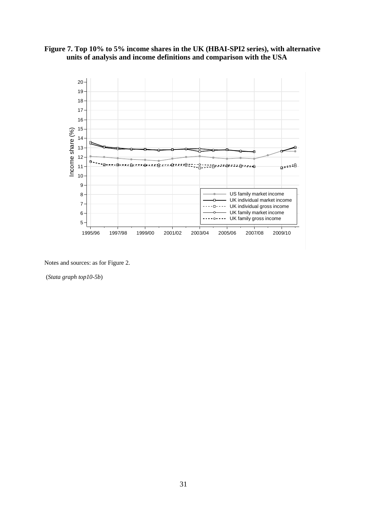



(*Stata graph top10-5b*)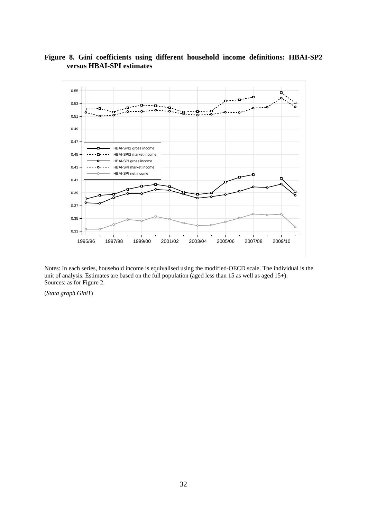



Notes: In each series, household income is equivalised using the modified-OECD scale. The individual is the unit of analysis. Estimates are based on the full population (aged less than 15 as well as aged 15+). Sources: as for Figure 2.

(*Stata graph Gini1*)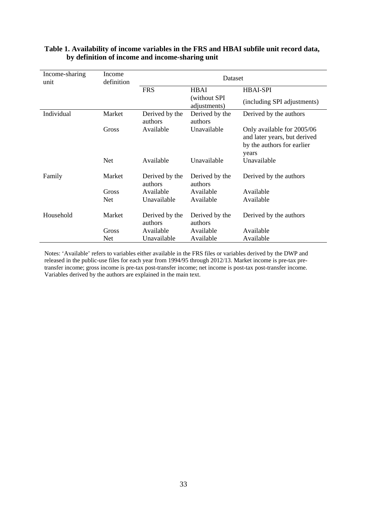| Income-sharing<br>unit | Income<br>definition |                           | Dataset                      |                                                                                                   |
|------------------------|----------------------|---------------------------|------------------------------|---------------------------------------------------------------------------------------------------|
|                        |                      | <b>FRS</b>                | <b>HBAI</b>                  | <b>HBAI-SPI</b>                                                                                   |
|                        |                      |                           | (without SPI<br>adjustments) | (including SPI adjustments)                                                                       |
| Individual             | Market               | Derived by the<br>authors | Derived by the<br>authors    | Derived by the authors                                                                            |
|                        | Gross                | Available                 | Unavailable                  | Only available for 2005/06<br>and later years, but derived<br>by the authors for earlier<br>years |
|                        | <b>Net</b>           | Available                 | Unavailable                  | Unavailable                                                                                       |
| Family                 | Market               | Derived by the<br>authors | Derived by the<br>authors    | Derived by the authors                                                                            |
|                        | Gross                | Available                 | Available                    | Available                                                                                         |
|                        | <b>Net</b>           | Unavailable               | Available                    | Available                                                                                         |
| Household              | Market               | Derived by the<br>authors | Derived by the<br>authors    | Derived by the authors                                                                            |
|                        | Gross                | Available                 | Available                    | Available                                                                                         |
|                        | <b>Net</b>           | Unavailable               | Available                    | Available                                                                                         |

#### **Table 1. Availability of income variables in the FRS and HBAI subfile unit record data, by definition of income and income-sharing unit**

Notes: 'Available' refers to variables either available in the FRS files or variables derived by the DWP and released in the public-use files for each year from 1994/95 through 2012/13. Market income is pre-tax pretransfer income; gross income is pre-tax post-transfer income; net income is post-tax post-transfer income. Variables derived by the authors are explained in the main text.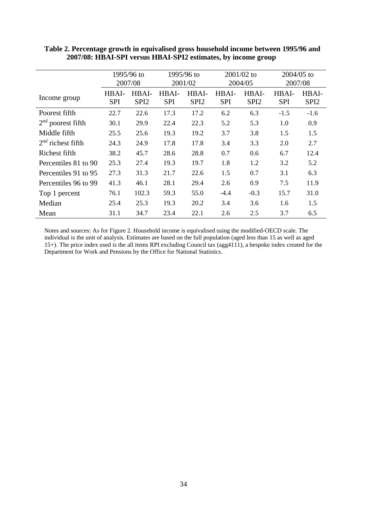|                      | 1995/96 to<br>2007/08 |                           |                     | 1995/96 to<br>2001/02     |                     | 2001/02 to<br>2004/05     | $2004/05$ to<br>2007/08 |                           |  |
|----------------------|-----------------------|---------------------------|---------------------|---------------------------|---------------------|---------------------------|-------------------------|---------------------------|--|
| Income group         | HBAI-<br><b>SPI</b>   | HBAI-<br>SPI <sub>2</sub> | HBAI-<br><b>SPI</b> | HBAI-<br>SPI <sub>2</sub> | HBAI-<br><b>SPI</b> | HBAI-<br>SPI <sub>2</sub> | HBAI-<br><b>SPI</b>     | HBAI-<br>SPI <sub>2</sub> |  |
| Poorest fifth        | 22.7                  | 22.6                      | 17.3                | 17.2                      | 6.2                 | 6.3                       | $-1.5$                  | $-1.6$                    |  |
| $2nd$ poorest fifth  | 30.1                  | 29.9                      | 22.4                | 22.3                      | 5.2                 | 5.3                       | 1.0                     | 0.9                       |  |
| Middle fifth         | 25.5                  | 25.6                      | 19.3                | 19.2                      | 3.7                 | 3.8                       | 1.5                     | 1.5                       |  |
| $2nd$ richest fifth  | 24.3                  | 24.9                      | 17.8                | 17.8                      | 3.4                 | 3.3                       | 2.0                     | 2.7                       |  |
| Richest fifth        | 38.2                  | 45.7                      | 28.6                | 28.8                      | 0.7                 | 0.6                       | 6.7                     | 12.4                      |  |
| Percentiles 81 to 90 | 25.3                  | 27.4                      | 19.3                | 19.7                      | 1.8                 | 1.2                       | 3.2                     | 5.2                       |  |
| Percentiles 91 to 95 | 27.3                  | 31.3                      | 21.7                | 22.6                      | 1.5                 | 0.7                       | 3.1                     | 6.3                       |  |
| Percentiles 96 to 99 | 41.3                  | 46.1                      | 28.1                | 29.4                      | 2.6                 | 0.9                       | 7.5                     | 11.9                      |  |
| Top 1 percent        | 76.1                  | 102.3                     | 59.3                | 55.0                      | $-4.4$              | $-0.3$                    | 15.7                    | 31.0                      |  |
| Median               | 25.4                  | 25.3                      | 19.3                | 20.2                      | 3.4                 | 3.6                       | 1.6                     | 1.5                       |  |
| Mean                 | 31.1                  | 34.7                      | 23.4                | 22.1                      | 2.6                 | 2.5                       | 3.7                     | 6.5                       |  |

**Table 2. Percentage growth in equivalised gross household income between 1995/96 and 2007/08: HBAI-SPI versus HBAI-SPI2 estimates, by income group**

Notes and sources: As for Figure 2. Household income is equivalised using the modified-OECD scale. The individual is the unit of analysis. Estimates are based on the full population (aged less than 15 as well as aged 15+). The price index used is the all items RPI excluding Council tax (agg4111), a bespoke index created for the Department for Work and Pensions by the Office for National Statistics.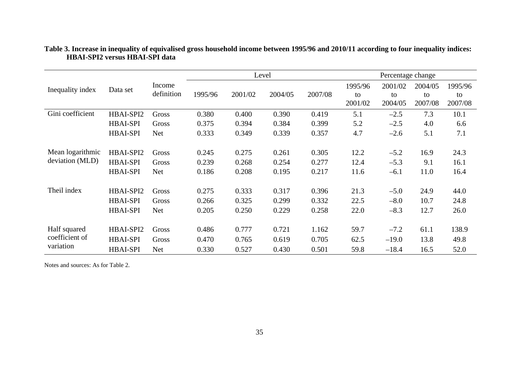|                                             |                                                 |                              |                         |                         | Level                   |                         | Percentage change        |                              |                          |                          |  |
|---------------------------------------------|-------------------------------------------------|------------------------------|-------------------------|-------------------------|-------------------------|-------------------------|--------------------------|------------------------------|--------------------------|--------------------------|--|
| Inequality index                            | Data set                                        | Income<br>definition         | 1995/96                 | 2001/02                 | 2004/05                 | 2007/08                 | 1995/96<br>to<br>2001/02 | 2001/02<br>to<br>2004/05     | 2004/05<br>to<br>2007/08 | 1995/96<br>to<br>2007/08 |  |
| Gini coefficient                            | HBAI-SPI2                                       | Gross                        | 0.380                   | 0.400                   | 0.390                   | 0.419                   | 5.1                      | $-2.5$                       | 7.3                      | 10.1                     |  |
|                                             | <b>HBAI-SPI</b>                                 | Gross                        | 0.375                   | 0.394                   | 0.384                   | 0.399                   | 5.2                      | $-2.5$                       | 4.0                      | 6.6                      |  |
|                                             | <b>HBAI-SPI</b>                                 | <b>Net</b>                   | 0.333                   | 0.349                   | 0.339                   | 0.357                   | 4.7                      | $-2.6$                       | 5.1                      | 7.1                      |  |
| Mean logarithmic<br>deviation (MLD)         | HBAI-SPI2<br><b>HBAI-SPI</b><br><b>HBAI-SPI</b> | Gross<br>Gross<br><b>Net</b> | 0.245<br>0.239<br>0.186 | 0.275<br>0.268<br>0.208 | 0.261<br>0.254<br>0.195 | 0.305<br>0.277<br>0.217 | 12.2<br>12.4<br>11.6     | $-5.2$<br>$-5.3$<br>$-6.1$   | 16.9<br>9.1<br>11.0      | 24.3<br>16.1<br>16.4     |  |
| Theil index                                 | HBAI-SPI2                                       | Gross                        | 0.275                   | 0.333                   | 0.317                   | 0.396                   | 21.3                     | $-5.0$                       | 24.9                     | 44.0                     |  |
|                                             | <b>HBAI-SPI</b>                                 | Gross                        | 0.266                   | 0.325                   | 0.299                   | 0.332                   | 22.5                     | $-8.0$                       | 10.7                     | 24.8                     |  |
|                                             | <b>HBAI-SPI</b>                                 | Net                          | 0.205                   | 0.250                   | 0.229                   | 0.258                   | 22.0                     | $-8.3$                       | 12.7                     | 26.0                     |  |
| Half squared<br>coefficient of<br>variation | HBAI-SPI2<br><b>HBAI-SPI</b><br><b>HBAI-SPI</b> | Gross<br>Gross<br>Net        | 0.486<br>0.470<br>0.330 | 0.777<br>0.765<br>0.527 | 0.721<br>0.619<br>0.430 | 1.162<br>0.705<br>0.501 | 59.7<br>62.5<br>59.8     | $-7.2$<br>$-19.0$<br>$-18.4$ | 61.1<br>13.8<br>16.5     | 138.9<br>49.8<br>52.0    |  |

#### **Table 3. Increase in inequality of equivalised gross household income between 1995/96 and 2010/11 according to four inequality indices: HBAI-SPI2 versus HBAI-SPI data**

Notes and sources: As for Table 2.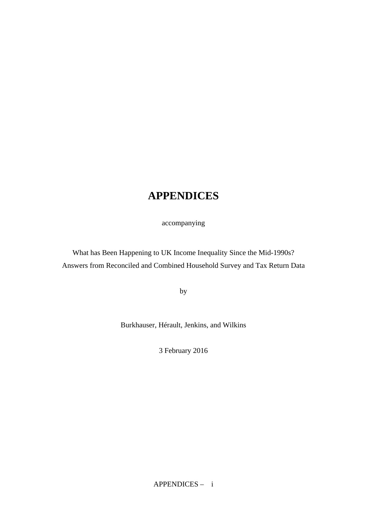## **APPENDICES**

accompanying

What has Been Happening to UK Income Inequality Since the Mid-1990s? Answers from Reconciled and Combined Household Survey and Tax Return Data

by

Burkhauser, Hérault, Jenkins, and Wilkins

3 February 2016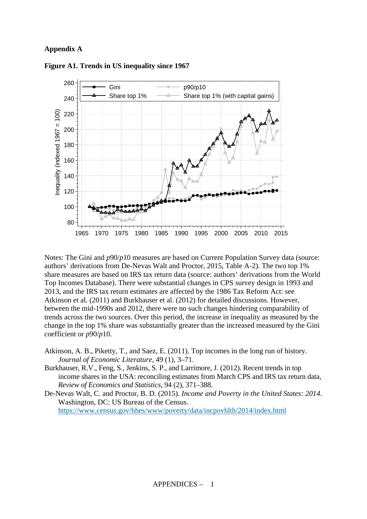#### **Appendix A**



**Figure A1. Trends in US inequality since 1967** 

Notes: The Gini and  $p90/p10$  measures are based on Current Population Survey data (source: authors' derivations from De-Nevas Walt and Proctor, 2015, Table A-2). The two top 1% share measures are based on IRS tax return data (source: authors' derivations from the World Top Incomes Database). There were substantial changes in CPS survey design in 1993 and 2013, and the IRS tax return estimates are affected by the 1986 Tax Reform Act: see Atkinson et al. (2011) and Burkhauser et al. (2012) for detailed discussions. However, between the mid-1990s and 2012, there were no such changes hindering comparability of trends across the two sources. Over this period, the increase in inequality as measured by the change in the top 1% share was substantially greater than the increased measured by the Gini coefficient or *p*90/*p*10.

- Atkinson, A. B., Piketty, T., and Saez, E. (2011). Top incomes in the long run of history. *Journal of Economic Literature*, 49 (1), 3–71.
- Burkhauser, R.V., Feng, S., Jenkins, S. P., and Larrimore, J. (2012). Recent trends in top income shares in the USA: reconciling estimates from March CPS and IRS tax return data, *Review of Economics and Statistics*, 94 (2), 371–388.
- De-Nevas Walt, C. and Proctor, B. D. (2015). *Income and Poverty in the United States: 2014*. Washington, DC: US Bureau of the Census. https://www.census.gov/hhes/www/poverty/data/incpovhlth/2014/index.html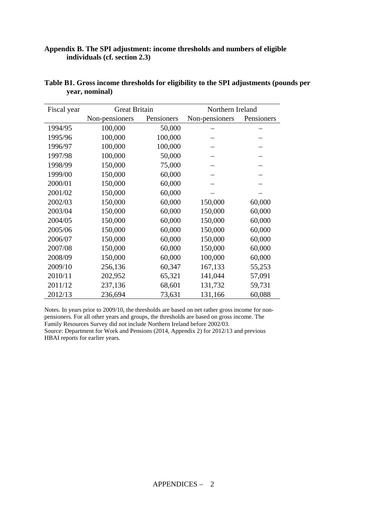#### **Appendix B. The SPI adjustment: income thresholds and numbers of eligible individuals (cf. section 2.3)**

| Fiscal year | <b>Great Britain</b> |            | Northern Ireland |            |  |  |
|-------------|----------------------|------------|------------------|------------|--|--|
|             | Non-pensioners       | Pensioners | Non-pensioners   | Pensioners |  |  |
| 1994/95     | 100,000              | 50,000     |                  |            |  |  |
| 1995/96     | 100,000              | 100,000    |                  |            |  |  |
| 1996/97     | 100,000              | 100,000    |                  |            |  |  |
| 1997/98     | 100,000              | 50,000     |                  |            |  |  |
| 1998/99     | 150,000              | 75,000     |                  |            |  |  |
| 1999/00     | 150,000              | 60,000     |                  |            |  |  |
| 2000/01     | 150,000              | 60,000     |                  |            |  |  |
| 2001/02     | 150,000              | 60,000     |                  |            |  |  |
| 2002/03     | 150,000              | 60,000     | 150,000          | 60,000     |  |  |
| 2003/04     | 150,000              | 60,000     | 150,000          | 60,000     |  |  |
| 2004/05     | 150,000              | 60,000     | 150,000          | 60,000     |  |  |
| 2005/06     | 150,000              | 60,000     | 150,000          | 60,000     |  |  |
| 2006/07     | 150,000              | 60,000     | 150,000          | 60,000     |  |  |
| 2007/08     | 150,000              | 60,000     | 150,000          | 60,000     |  |  |
| 2008/09     | 150,000              | 60,000     | 100,000          | 60,000     |  |  |
| 2009/10     | 256,136              | 60,347     | 167,133          | 55,253     |  |  |
| 2010/11     | 202,952              | 65,321     | 141,044          | 57,091     |  |  |
| 2011/12     | 237,136              | 68,601     | 131,732          | 59,731     |  |  |
| 2012/13     | 236,694              | 73,631     | 131,166          | 60,088     |  |  |

| Table B1. Gross income thresholds for eligibility to the SPI adjustments (pounds per |  |  |  |
|--------------------------------------------------------------------------------------|--|--|--|
| year, nominal)                                                                       |  |  |  |

Notes. In years prior to 2009/10, the thresholds are based on net rather gross income for nonpensioners. For all other years and groups, the thresholds are based on gross income. The Family Resources Survey did not include Northern Ireland before 2002/03. Source: Department for Work and Pensions (2014, Appendix 2) for 2012/13 and previous HBAI reports for earlier years.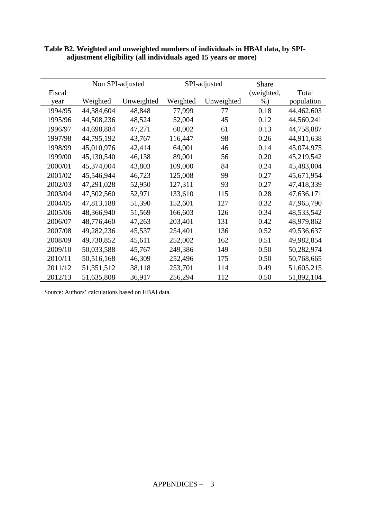|         |            | Non SPI-adjusted |          | SPI-adjusted | <b>Share</b> |            |
|---------|------------|------------------|----------|--------------|--------------|------------|
| Fiscal  |            |                  |          |              | (weighted,   | Total      |
| year    | Weighted   | Unweighted       | Weighted | Unweighted   | $%$ )        | population |
| 1994/95 | 44,384,604 | 48,848           | 77,999   | 77           | 0.18         | 44,462,603 |
| 1995/96 | 44,508,236 | 48,524           | 52,004   | 45           | 0.12         | 44,560,241 |
| 1996/97 | 44,698,884 | 47,271           | 60,002   | 61           | 0.13         | 44,758,887 |
| 1997/98 | 44,795,192 | 43,767           | 116,447  | 98           | 0.26         | 44,911,638 |
| 1998/99 | 45,010,976 | 42,414           | 64,001   | 46           | 0.14         | 45,074,975 |
| 1999/00 | 45,130,540 | 46,138           | 89,001   | 56           | 0.20         | 45,219,542 |
| 2000/01 | 45,374,004 | 43,803           | 109,000  | 84           | 0.24         | 45,483,004 |
| 2001/02 | 45,546,944 | 46,723           | 125,008  | 99           | 0.27         | 45,671,954 |
| 2002/03 | 47,291,028 | 52,950           | 127,311  | 93           | 0.27         | 47,418,339 |
| 2003/04 | 47,502,560 | 52,971           | 133,610  | 115          | 0.28         | 47,636,171 |
| 2004/05 | 47,813,188 | 51,390           | 152,601  | 127          | 0.32         | 47,965,790 |
| 2005/06 | 48,366,940 | 51,569           | 166,603  | 126          | 0.34         | 48,533,542 |
| 2006/07 | 48,776,460 | 47,263           | 203,401  | 131          | 0.42         | 48,979,862 |
| 2007/08 | 49,282,236 | 45,537           | 254,401  | 136          | 0.52         | 49,536,637 |
| 2008/09 | 49,730,852 | 45,611           | 252,002  | 162          | 0.51         | 49,982,854 |
| 2009/10 | 50,033,588 | 45,767           | 249,386  | 149          | 0.50         | 50,282,974 |
| 2010/11 | 50,516,168 | 46,309           | 252,496  | 175          | 0.50         | 50,768,665 |
| 2011/12 | 51,351,512 | 38,118           | 253,701  | 114          | 0.49         | 51,605,215 |
| 2012/13 | 51,635,808 | 36,917           | 256,294  | 112          | 0.50         | 51,892,104 |

**Table B2. Weighted and unweighted numbers of individuals in HBAI data, by SPIadjustment eligibility (all individuals aged 15 years or more)**

Source: Authors' calculations based on HBAI data.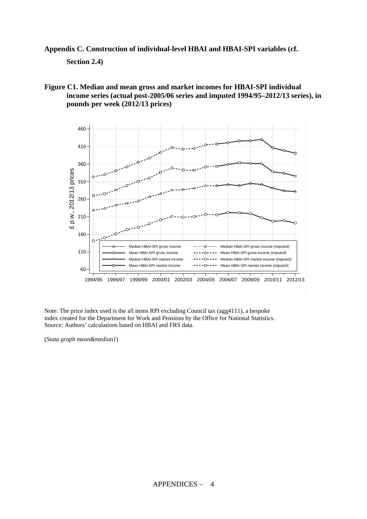**Appendix C. Construction of individual-level HBAI and HBAI-SPI variables (cf.** 

**Section 2.4)** 

**Figure C1. Median and mean gross and market incomes for HBAI-SPI individual income series (actual post-2005/06 series and imputed 1994/95–2012/13 series), in pounds per week (2012/13 prices)** 



Note: The price index used is the all items RPI excluding Council tax (agg4111), a bespoke index created for the Department for Work and Pensions by the Office for National Statistics. Source: Authors' calculations based on HBAI and FRS data.

(*Stata graph mean&median1*)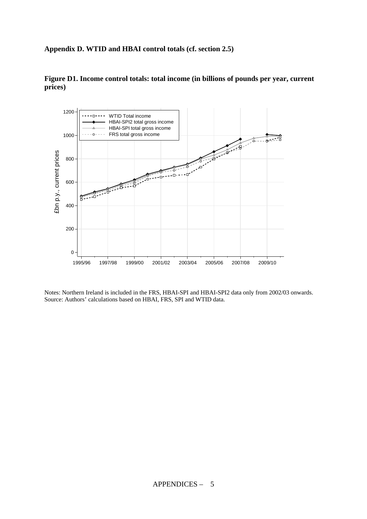### **Appendix D. WTID and HBAI control totals (cf. section 2.5)**



**Figure D1. Income control totals: total income (in billions of pounds per year, current prices)**

Notes: Northern Ireland is included in the FRS, HBAI-SPI and HBAI-SPI2 data only from 2002/03 onwards. Source: Authors' calculations based on HBAI, FRS, SPI and WTID data.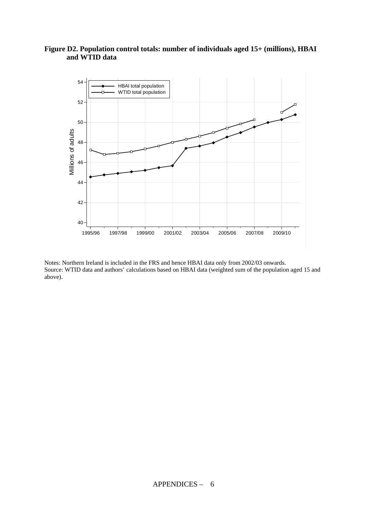### **Figure D2. Population control totals: number of individuals aged 15+ (millions), HBAI and WTID data**



Notes: Northern Ireland is included in the FRS and hence HBAI data only from 2002/03 onwards. Source: WTID data and authors' calculations based on HBAI data (weighted sum of the population aged 15 and above).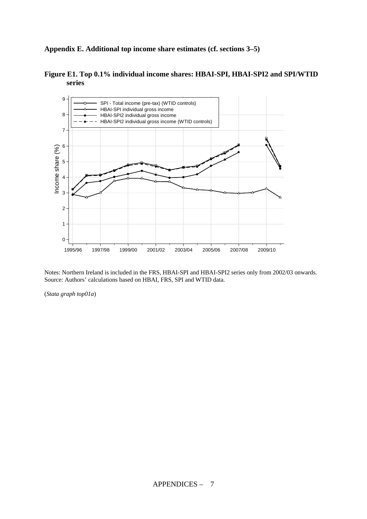**Appendix E. Additional top income share estimates (cf. sections 3–5)** 



**Figure E1. Top 0.1% individual income shares: HBAI-SPI, HBAI-SPI2 and SPI/WTID series** 

Notes: Northern Ireland is included in the FRS, HBAI-SPI and HBAI-SPI2 series only from 2002/03 onwards. Source: Authors' calculations based on HBAI, FRS, SPI and WTID data.

(*Stata graph top01a*)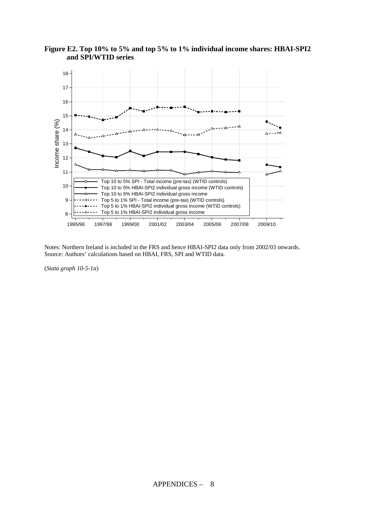

**Figure E2. Top 10% to 5% and top 5% to 1% individual income shares: HBAI-SPI2 and SPI/WTID series** 

Notes: Northern Ireland is included in the FRS and hence HBAI-SPI2 data only from 2002/03 onwards. Source: Authors' calculations based on HBAI, FRS, SPI and WTID data.

(*Stata graph 10-5-1a*)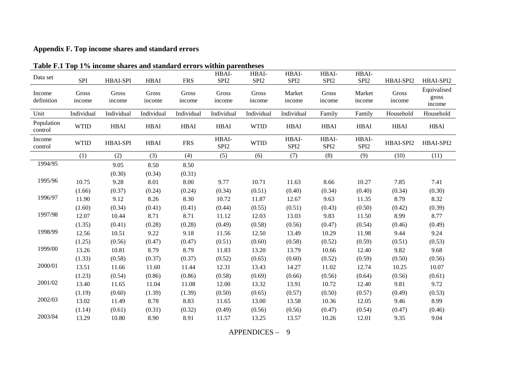### **Appendix F. Top income shares and standard errors**

| <b>Table F.I Top 170 income shares and standard errors within parentheses</b> |                 |                 |                 |                 |                           |                           |                           |                           |                           |                 |                                |
|-------------------------------------------------------------------------------|-----------------|-----------------|-----------------|-----------------|---------------------------|---------------------------|---------------------------|---------------------------|---------------------------|-----------------|--------------------------------|
| Data set                                                                      | SPI             | <b>HBAI-SPI</b> | <b>HBAI</b>     | <b>FRS</b>      | HBAI-<br>SPI <sub>2</sub> | HBAI-<br>SPI <sub>2</sub> | HBAI-<br>SPI <sub>2</sub> | HBAI-<br>SPI <sub>2</sub> | HBAI-<br>SPI <sub>2</sub> | HBAI-SPI2       | HBAI-SPI2                      |
| Income<br>definition                                                          | Gross<br>income | Gross<br>income | Gross<br>income | Gross<br>income | Gross<br>income           | Gross<br>income           | Market<br>income          | Gross<br>income           | Market<br>income          | Gross<br>income | Equivalised<br>gross<br>income |
| Unit                                                                          | Individual      | Individual      | Individual      | Individual      | Individual                | Individual                | Individual                | Family                    | Family                    | Household       | Household                      |
| Population<br>control                                                         | <b>WTID</b>     | <b>HBAI</b>     | <b>HBAI</b>     | <b>HBAI</b>     | <b>HBAI</b>               | <b>WTID</b>               | <b>HBAI</b>               | <b>HBAI</b>               | <b>HBAI</b>               | <b>HBAI</b>     | <b>HBAI</b>                    |
| Income<br>control                                                             | <b>WTID</b>     | <b>HBAI-SPI</b> | <b>HBAI</b>     | <b>FRS</b>      | HBAI-<br>SPI <sub>2</sub> | <b>WTID</b>               | HBAI-<br>SPI <sub>2</sub> | HBAI-<br>SPI <sub>2</sub> | HBAI-<br>SPI <sub>2</sub> | HBAI-SPI2       | HBAI-SPI2                      |
|                                                                               | (1)             | (2)             | (3)             | (4)             | (5)                       | (6)                       | (7)                       | (8)                       | (9)                       | (10)            | (11)                           |
| 1994/95                                                                       |                 | 9.05            | 8.50            | 8.50            |                           |                           |                           |                           |                           |                 |                                |
|                                                                               |                 | (0.30)          | (0.34)          | (0.31)          |                           |                           |                           |                           |                           |                 |                                |
| 1995/96                                                                       | 10.75           | 9.28            | 8.01            | 8.00            | 9.77                      | 10.71                     | 11.63                     | 8.66                      | 10.27                     | 7.85            | 7.41                           |
|                                                                               | (1.66)          | (0.37)          | (0.24)          | (0.24)          | (0.34)                    | (0.51)                    | (0.40)                    | (0.34)                    | (0.40)                    | (0.34)          | (0.30)                         |
| 1996/97                                                                       | 11.90           | 9.12            | 8.26            | 8.30            | 10.72                     | 11.87                     | 12.67                     | 9.63                      | 11.35                     | 8.79            | 8.32                           |
|                                                                               | (1.60)          | (0.34)          | (0.41)          | (0.41)          | (0.44)                    | (0.55)                    | (0.51)                    | (0.43)                    | (0.50)                    | (0.42)          | (0.39)                         |
| 1997/98                                                                       | 12.07           | 10.44           | 8.71            | 8.71            | 11.12                     | 12.03                     | 13.03                     | 9.83                      | 11.50                     | 8.99            | 8.77                           |
|                                                                               | (1.35)          | (0.41)          | (0.28)          | (0.28)          | (0.49)                    | (0.58)                    | (0.56)                    | (0.47)                    | (0.54)                    | (0.46)          | (0.49)                         |
| 1998/99                                                                       | 12.56           | 10.51           | 9.22            | 9.18            | 11.56                     | 12.50                     | 13.49                     | 10.29                     | 11.98                     | 9.44            | 9.24                           |
|                                                                               | (1.25)          | (0.56)          | (0.47)          | (0.47)          | (0.51)                    | (0.60)                    | (0.58)                    | (0.52)                    | (0.59)                    | (0.51)          | (0.53)                         |
| 1999/00                                                                       | 13.26           | 10.81           | 8.79            | 8.79            | 11.83                     | 13.20                     | 13.79                     | 10.66                     | 12.40                     | 9.82            | 9.68                           |
|                                                                               | (1.33)          | (0.58)          | (0.37)          | (0.37)          | (0.52)                    | (0.65)                    | (0.60)                    | (0.52)                    | (0.59)                    | (0.50)          | (0.56)                         |
| 2000/01                                                                       | 13.51           | 11.66           | 11.60           | 11.44           | 12.31                     | 13.43                     | 14.27                     | 11.02                     | 12.74                     | 10.25           | 10.07                          |
|                                                                               | (1.23)          | (0.54)          | (0.86)          | (0.86)          | (0.58)                    | (0.69)                    | (0.66)                    | (0.56)                    | (0.64)                    | (0.56)          | (0.61)                         |
| 2001/02                                                                       | 13.40           | 11.65           | 11.04           | 11.08           | 12.00                     | 13.32                     | 13.91                     | 10.72                     | 12.40                     | 9.81            | 9.72                           |
|                                                                               | (1.19)          | (0.60)          | (1.39)          | (1.39)          | (0.50)                    | (0.65)                    | (0.57)                    | (0.50)                    | (0.57)                    | (0.49)          | (0.53)                         |
| 2002/03                                                                       | 13.02           | 11.49           | 8.78            | 8.83            | 11.65                     | 13.00                     | 13.58                     | 10.36                     | 12.05                     | 9.46            | 8.99                           |
|                                                                               | (1.14)          | (0.61)          | (0.31)          | (0.32)          | (0.49)                    | (0.56)                    | (0.56)                    | (0.47)                    | (0.54)                    | (0.47)          | (0.46)                         |
| 2003/04                                                                       | 13.29           | 10.80           | 8.90            | 8.91            | 11.57                     | 13.25                     | 13.57                     | 10.26                     | 12.01                     | 9.35            | 9.04                           |

#### **Table F.1 Top 1% income shares and standard errors within parentheses**

APPENDICES – 9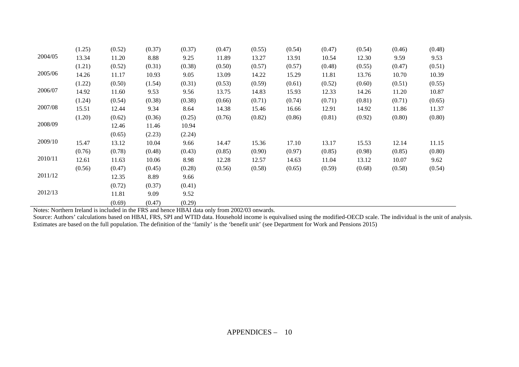|         | (1.25) | (0.52) | (0.37) | (0.37) | (0.47) | (0.55) | (0.54) | (0.47) | (0.54) | (0.46) | (0.48) |
|---------|--------|--------|--------|--------|--------|--------|--------|--------|--------|--------|--------|
| 2004/05 | 13.34  | 11.20  | 8.88   | 9.25   | 11.89  | 13.27  | 13.91  | 10.54  | 12.30  | 9.59   | 9.53   |
|         | (1.21) | (0.52) | (0.31) | (0.38) | (0.50) | (0.57) | (0.57) | (0.48) | (0.55) | (0.47) | (0.51) |
| 2005/06 | 14.26  | 11.17  | 10.93  | 9.05   | 13.09  | 14.22  | 15.29  | 11.81  | 13.76  | 10.70  | 10.39  |
|         | (1.22) | (0.50) | (1.54) | (0.31) | (0.53) | (0.59) | (0.61) | (0.52) | (0.60) | (0.51) | (0.55) |
| 2006/07 | 14.92  | 11.60  | 9.53   | 9.56   | 13.75  | 14.83  | 15.93  | 12.33  | 14.26  | 11.20  | 10.87  |
|         | (1.24) | (0.54) | (0.38) | (0.38) | (0.66) | (0.71) | (0.74) | (0.71) | (0.81) | (0.71) | (0.65) |
| 2007/08 | 15.51  | 12.44  | 9.34   | 8.64   | 14.38  | 15.46  | 16.66  | 12.91  | 14.92  | 11.86  | 11.37  |
|         | (1.20) | (0.62) | (0.36) | (0.25) | (0.76) | (0.82) | (0.86) | (0.81) | (0.92) | (0.80) | (0.80) |
| 2008/09 |        | 12.46  | 11.46  | 10.94  |        |        |        |        |        |        |        |
|         |        | (0.65) | (2.23) | (2.24) |        |        |        |        |        |        |        |
| 2009/10 | 15.47  | 13.12  | 10.04  | 9.66   | 14.47  | 15.36  | 17.10  | 13.17  | 15.53  | 12.14  | 11.15  |
|         | (0.76) | (0.78) | (0.48) | (0.43) | (0.85) | (0.90) | (0.97) | (0.85) | (0.98) | (0.85) | (0.80) |
| 2010/11 | 12.61  | 11.63  | 10.06  | 8.98   | 12.28  | 12.57  | 14.63  | 11.04  | 13.12  | 10.07  | 9.62   |
|         | (0.56) | (0.47) | (0.45) | (0.28) | (0.56) | (0.58) | (0.65) | (0.59) | (0.68) | (0.58) | (0.54) |
| 2011/12 |        | 12.35  | 8.89   | 9.66   |        |        |        |        |        |        |        |
|         |        | (0.72) | (0.37) | (0.41) |        |        |        |        |        |        |        |
| 2012/13 |        | 11.81  | 9.09   | 9.52   |        |        |        |        |        |        |        |
|         |        | (0.69) | (0.47) | (0.29) |        |        |        |        |        |        |        |

Notes: Northern Ireland is included in the FRS and hence HBAI data only from 2002/03 onwards.

Source: Authors' calculations based on HBAI, FRS, SPI and WTID data. Household income is equivalised using the modified-OECD scale. The individual is the unit of analysis. Estimates are based on the full population. The definition of the 'family' is the 'benefit unit' (see Department for Work and Pensions 2015)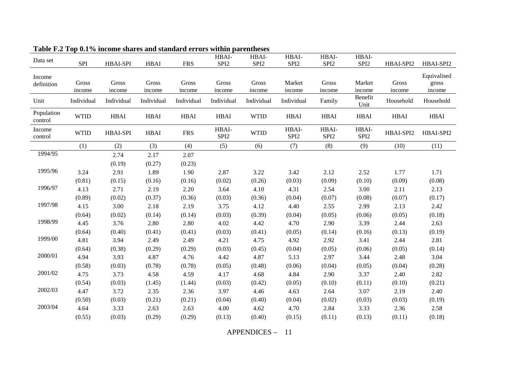| Data set              | SPI             | HBAI-SPI        | ${\rm HBAI}$    | <b>FRS</b>      | HBAI-<br>SPI <sub>2</sub> | HBAI-<br>SPI <sub>2</sub> | HBAI-<br>SPI <sub>2</sub> | HBAI-<br>SPI <sub>2</sub> | HBAI-<br>SPI <sub>2</sub> | HBAI-SPI2       | HBAI-SPI2       |
|-----------------------|-----------------|-----------------|-----------------|-----------------|---------------------------|---------------------------|---------------------------|---------------------------|---------------------------|-----------------|-----------------|
|                       |                 |                 |                 |                 |                           |                           |                           |                           |                           |                 |                 |
| Income                |                 |                 |                 |                 |                           |                           |                           |                           |                           |                 | Equivalised     |
| definition            | Gross<br>income | Gross<br>income | Gross<br>income | Gross<br>income | Gross<br>income           | Gross<br>income           | Market<br>income          | Gross<br>income           | Market<br>income          | Gross<br>income | gross<br>income |
| Unit                  | Individual      | Individual      | Individual      | Individual      | Individual                | Individual                | Individual                | Family                    | Benefit<br>Unit           | Household       | Household       |
| Population<br>control | <b>WTID</b>     | ${\bf HBAI}$    | ${\bf HBAI}$    | HBAI            | <b>HBAI</b>               | <b>WTID</b>               | HBAI                      | <b>HBAI</b>               | <b>HBAI</b>               | <b>HBAI</b>     | HBAI            |
| Income<br>control     | <b>WTID</b>     | HBAI-SPI        | <b>HBAI</b>     | <b>FRS</b>      | HBAI-<br>SPI <sub>2</sub> | <b>WTID</b>               | HBAI-<br>SPI <sub>2</sub> | HBAI-<br>SPI <sub>2</sub> | HBAI-<br>SPI <sub>2</sub> | HBAI-SPI2       | HBAI-SPI2       |
|                       | (1)             | (2)             | (3)             | (4)             | (5)                       | (6)                       | (7)                       | (8)                       | (9)                       | (10)            | (11)            |
| 1994/95               |                 | 2.74            | 2.17            | 2.07            |                           |                           |                           |                           |                           |                 |                 |
|                       |                 | (0.19)          | (0.27)          | (0.23)          |                           |                           |                           |                           |                           |                 |                 |
| 1995/96               | 3.24            | 2.91            | 1.89            | 1.90            | 2.87                      | 3.22                      | 3.42                      | 2.12                      | 2.52                      | 1.77            | 1.71            |
|                       | (0.81)          | (0.15)          | (0.16)          | (0.16)          | (0.02)                    | (0.26)                    | (0.03)                    | (0.09)                    | (0.10)                    | (0.09)          | (0.08)          |
| 1996/97               | 4.13            | 2.71            | 2.19            | 2.20            | 3.64                      | 4.10                      | 4.31                      | 2.54                      | 3.00                      | 2.11            | 2.13            |
|                       | (0.89)          | (0.02)          | (0.37)          | (0.36)          | (0.03)                    | (0.36)                    | (0.04)                    | (0.07)                    | (0.08)                    | (0.07)          | (0.17)          |
| 1997/98               | 4.15            | 3.00            | 2.18            | 2.19            | 3.75                      | 4.12                      | 4.40                      | 2.55                      | 2.99                      | 2.13            | 2.42            |
|                       | (0.64)          | (0.02)          | (0.14)          | (0.14)          | (0.03)                    | (0.39)                    | (0.04)                    | (0.05)                    | (0.06)                    | (0.05)          | (0.18)          |
| 1998/99               | 4.45            | 3.76            | 2.80            | 2.80            | 4.02                      | 4.42                      | 4.70                      | 2.90                      | 3.39                      | 2.44            | 2.63            |
|                       | (0.64)          | (0.40)          | (0.41)          | (0.41)          | (0.03)                    | (0.41)                    | (0.05)                    | (0.14)                    | (0.16)                    | (0.13)          | (0.19)          |
| 1999/00               | 4.81            | 3.94            | 2.49            | 2.49            | 4.21                      | 4.75                      | 4.92                      | 2.92                      | 3.41                      | 2.44            | 2.81            |
|                       | (0.64)          | (0.38)          | (0.29)          | (0.29)          | (0.03)                    | (0.45)                    | (0.04)                    | (0.05)                    | (0.06)                    | (0.05)          | (0.14)          |
| 2000/01               | 4.94            | 3.93            | 4.87            | 4.76            | 4.42                      | 4.87                      | 5.13                      | 2.97                      | 3.44                      | 2.48            | 3.04            |
|                       | (0.58)          | (0.03)          | (0.78)          | (0.78)          | (0.05)                    | (0.48)                    | (0.06)                    | (0.04)                    | (0.05)                    | (0.04)          | (0.28)          |
| 2001/02               | 4.75            | 3.73            | 4.58            | 4.59            | 4.17                      | 4.68                      | 4.84                      | 2.90                      | 3.37                      | 2.40            | 2.82            |
|                       | (0.54)          | (0.03)          | (1.45)          | (1.44)          | (0.03)                    | (0.42)                    | (0.05)                    | (0.10)                    | (0.11)                    | (0.10)          | (0.21)          |
| 2002/03               | 4.47            | 3.72            | 2.35            | 2.36            | 3.97                      | 4.46                      | 4.63                      | 2.64                      | 3.07                      | 2.19            | 2.40            |
|                       | (0.50)          | (0.03)          | (0.21)          | (0.21)          | (0.04)                    | (0.40)                    | (0.04)                    | (0.02)                    | (0.03)                    | (0.03)          | (0.19)          |
| 2003/04               | 4.64            | 3.33            | 2.63            | 2.63            | 4.00                      | 4.62                      | 4.70                      | 2.84                      | 3.33                      | 2.36            | 2.58            |
|                       | (0.55)          | (0.03)          | (0.29)          | (0.29)          | (0.13)                    | (0.40)                    | (0.15)                    | (0.11)                    | (0.13)                    | (0.11)          | (0.18)          |

**Table F.2 Top 0.1% income shares and standard errors within parentheses** 

APPENDICES – 11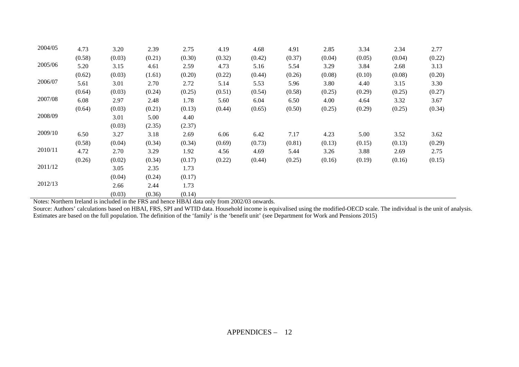| 2004/05 | 4.73   | 3.20   | 2.39   | 2.75   | 4.19   | 4.68   | 4.91   | 2.85   | 3.34   | 2.34   | 2.77   |
|---------|--------|--------|--------|--------|--------|--------|--------|--------|--------|--------|--------|
|         | (0.58) | (0.03) | (0.21) | (0.30) | (0.32) | (0.42) | (0.37) | (0.04) | (0.05) | (0.04) | (0.22) |
| 2005/06 | 5.20   | 3.15   | 4.61   | 2.59   | 4.73   | 5.16   | 5.54   | 3.29   | 3.84   | 2.68   | 3.13   |
|         | (0.62) | (0.03) | (1.61) | (0.20) | (0.22) | (0.44) | (0.26) | (0.08) | (0.10) | (0.08) | (0.20) |
| 2006/07 | 5.61   | 3.01   | 2.70   | 2.72   | 5.14   | 5.53   | 5.96   | 3.80   | 4.40   | 3.15   | 3.30   |
|         | (0.64) | (0.03) | (0.24) | (0.25) | (0.51) | (0.54) | (0.58) | (0.25) | (0.29) | (0.25) | (0.27) |
| 2007/08 | 6.08   | 2.97   | 2.48   | 1.78   | 5.60   | 6.04   | 6.50   | 4.00   | 4.64   | 3.32   | 3.67   |
|         | (0.64) | (0.03) | (0.21) | (0.13) | (0.44) | (0.65) | (0.50) | (0.25) | (0.29) | (0.25) | (0.34) |
| 2008/09 |        | 3.01   | 5.00   | 4.40   |        |        |        |        |        |        |        |
|         |        | (0.03) | (2.35) | (2.37) |        |        |        |        |        |        |        |
| 2009/10 | 6.50   | 3.27   | 3.18   | 2.69   | 6.06   | 6.42   | 7.17   | 4.23   | 5.00   | 3.52   | 3.62   |
|         | (0.58) | (0.04) | (0.34) | (0.34) | (0.69) | (0.73) | (0.81) | (0.13) | (0.15) | (0.13) | (0.29) |
| 2010/11 | 4.72   | 2.70   | 3.29   | 1.92   | 4.56   | 4.69   | 5.44   | 3.26   | 3.88   | 2.69   | 2.75   |
|         | (0.26) | (0.02) | (0.34) | (0.17) | (0.22) | (0.44) | (0.25) | (0.16) | (0.19) | (0.16) | (0.15) |
| 2011/12 |        | 3.05   | 2.35   | 1.73   |        |        |        |        |        |        |        |
|         |        | (0.04) | (0.24) | (0.17) |        |        |        |        |        |        |        |
| 2012/13 |        | 2.66   | 2.44   | 1.73   |        |        |        |        |        |        |        |
|         |        | (0.03) | (0.36) | (0.14) |        |        |        |        |        |        |        |

Notes: Northern Ireland is included in the FRS and hence HBAI data only from 2002/03 onwards.

Source: Authors' calculations based on HBAI, FRS, SPI and WTID data. Household income is equivalised using the modified-OECD scale. The individual is the unit of analysis. Estimates are based on the full population. The definition of the 'family' is the 'benefit unit' (see Department for Work and Pensions 2015)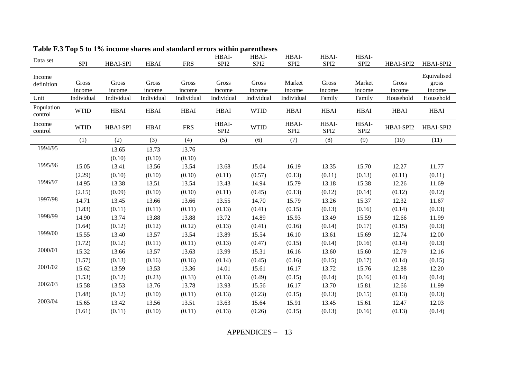| Data set              | <b>SPI</b>  | <b>HBAI-SPI</b> | <b>HBAI</b> | <b>FRS</b>  | HBAI-<br>SPI <sub>2</sub> | HBAI-<br>SPI <sub>2</sub> | HBAI-<br>SPI <sub>2</sub> | HBAI-<br>SPI <sub>2</sub> | HBAI-<br>SPI <sub>2</sub> | HBAI-SPI2   | HBAI-SPI2            |
|-----------------------|-------------|-----------------|-------------|-------------|---------------------------|---------------------------|---------------------------|---------------------------|---------------------------|-------------|----------------------|
|                       |             |                 |             |             |                           |                           |                           |                           |                           |             |                      |
| Income                | Gross       | Gross           | Gross       | Gross       | Gross                     | Gross                     | Market                    | Gross                     | Market                    | Gross       | Equivalised<br>gross |
| definition            | income      | income          | income      | income      | income                    | income                    | income                    | income                    | income                    | income      | income               |
| Unit                  | Individual  | Individual      | Individual  | Individual  | Individual                | Individual                | Individual                | Family                    | Family                    | Household   | Household            |
| Population<br>control | <b>WTID</b> | <b>HBAI</b>     | <b>HBAI</b> | <b>HBAI</b> | <b>HBAI</b>               | <b>WTID</b>               | <b>HBAI</b>               | <b>HBAI</b>               | <b>HBAI</b>               | <b>HBAI</b> | <b>HBAI</b>          |
| Income<br>control     | <b>WTID</b> | <b>HBAI-SPI</b> | <b>HBAI</b> | <b>FRS</b>  | HBAI-<br>SPI <sub>2</sub> | <b>WTID</b>               | HBAI-<br>SPI <sub>2</sub> | HBAI-<br>SPI <sub>2</sub> | HBAI-<br>SPI <sub>2</sub> | HBAI-SPI2   | HBAI-SPI2            |
|                       | (1)         | (2)             | (3)         | (4)         | (5)                       | (6)                       | (7)                       | (8)                       | (9)                       | (10)        | (11)                 |
| 1994/95               |             | 13.65           | 13.73       | 13.76       |                           |                           |                           |                           |                           |             |                      |
|                       |             | (0.10)          | (0.10)      | (0.10)      |                           |                           |                           |                           |                           |             |                      |
| 1995/96               | 15.05       | 13.41           | 13.56       | 13.54       | 13.68                     | 15.04                     | 16.19                     | 13.35                     | 15.70                     | 12.27       | 11.77                |
|                       | (2.29)      | (0.10)          | (0.10)      | (0.10)      | (0.11)                    | (0.57)                    | (0.13)                    | (0.11)                    | (0.13)                    | (0.11)      | (0.11)               |
| 1996/97               | 14.95       | 13.38           | 13.51       | 13.54       | 13.43                     | 14.94                     | 15.79                     | 13.18                     | 15.38                     | 12.26       | 11.69                |
|                       | (2.15)      | (0.09)          | (0.10)      | (0.10)      | (0.11)                    | (0.45)                    | (0.13)                    | (0.12)                    | (0.14)                    | (0.12)      | (0.12)               |
| 1997/98               | 14.71       | 13.45           | 13.66       | 13.66       | 13.55                     | 14.70                     | 15.79                     | 13.26                     | 15.37                     | 12.32       | 11.67                |
|                       | (1.83)      | (0.11)          | (0.11)      | (0.11)      | (0.13)                    | (0.41)                    | (0.15)                    | (0.13)                    | (0.16)                    | (0.14)      | (0.13)               |
| 1998/99               | 14.90       | 13.74           | 13.88       | 13.88       | 13.72                     | 14.89                     | 15.93                     | 13.49                     | 15.59                     | 12.66       | 11.99                |
|                       | (1.64)      | (0.12)          | (0.12)      | (0.12)      | (0.13)                    | (0.41)                    | (0.16)                    | (0.14)                    | (0.17)                    | (0.15)      | (0.13)               |
| 1999/00               | 15.55       | 13.40           | 13.57       | 13.54       | 13.89                     | 15.54                     | 16.10                     | 13.61                     | 15.69                     | 12.74       | 12.00                |
|                       | (1.72)      | (0.12)          | (0.11)      | (0.11)      | (0.13)                    | (0.47)                    | (0.15)                    | (0.14)                    | (0.16)                    | (0.14)      | (0.13)               |
| 2000/01               | 15.32       | 13.66           | 13.57       | 13.63       | 13.99                     | 15.31                     | 16.16                     | 13.60                     | 15.60                     | 12.79       | 12.16                |
|                       | (1.57)      | (0.13)          | (0.16)      | (0.16)      | (0.14)                    | (0.45)                    | (0.16)                    | (0.15)                    | (0.17)                    | (0.14)      | (0.15)               |
| 2001/02               | 15.62       | 13.59           | 13.53       | 13.36       | 14.01                     | 15.61                     | 16.17                     | 13.72                     | 15.76                     | 12.88       | 12.20                |
|                       | (1.53)      | (0.12)          | (0.23)      | (0.33)      | (0.13)                    | (0.49)                    | (0.15)                    | (0.14)                    | (0.16)                    | (0.14)      | (0.14)               |
| 2002/03               | 15.58       | 13.53           | 13.76       | 13.78       | 13.93                     | 15.56                     | 16.17                     | 13.70                     | 15.81                     | 12.66       | 11.99                |
|                       | (1.48)      | (0.12)          | (0.10)      | (0.11)      | (0.13)                    | (0.23)                    | (0.15)                    | (0.13)                    | (0.15)                    | (0.13)      | (0.13)               |
| 2003/04               | 15.65       | 13.42           | 13.56       | 13.51       | 13.63                     | 15.64                     | 15.91                     | 13.45                     | 15.61                     | 12.47       | 12.03                |
|                       | (1.61)      | (0.11)          | (0.10)      | (0.11)      | (0.13)                    | (0.26)                    | (0.15)                    | (0.13)                    | (0.16)                    | (0.13)      | (0.14)               |

**Table F.3 Top 5 to 1% income shares and standard errors within parentheses** 

APPENDICES – 13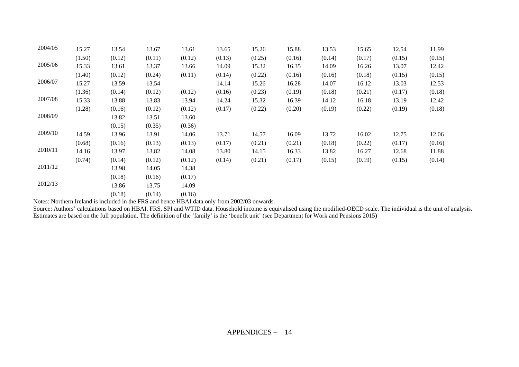| 2004/05 | 15.27  | 13.54  | 13.67  | 13.61  | 13.65  | 15.26  | 15.88  | 13.53  | 15.65  | 12.54  | 11.99  |
|---------|--------|--------|--------|--------|--------|--------|--------|--------|--------|--------|--------|
|         | (1.50) | (0.12) | (0.11) | (0.12) | (0.13) | (0.25) | (0.16) | (0.14) | (0.17) | (0.15) | (0.15) |
| 2005/06 | 15.33  | 13.61  | 13.37  | 13.66  | 14.09  | 15.32  | 16.35  | 14.09  | 16.26  | 13.07  | 12.42  |
|         | (1.40) | (0.12) | (0.24) | (0.11) | (0.14) | (0.22) | (0.16) | (0.16) | (0.18) | (0.15) | (0.15) |
| 2006/07 | 15.27  | 13.59  | 13.54  |        | 14.14  | 15.26  | 16.28  | 14.07  | 16.12  | 13.03  | 12.53  |
|         | (1.36) | (0.14) | (0.12) | (0.12) | (0.16) | (0.23) | (0.19) | (0.18) | (0.21) | (0.17) | (0.18) |
| 2007/08 | 15.33  | 13.88  | 13.83  | 13.94  | 14.24  | 15.32  | 16.39  | 14.12  | 16.18  | 13.19  | 12.42  |
|         | (1.28) | (0.16) | (0.12) | (0.12) | (0.17) | (0.22) | (0.20) | (0.19) | (0.22) | (0.19) | (0.18) |
| 2008/09 |        | 13.82  | 13.51  | 13.60  |        |        |        |        |        |        |        |
|         |        | (0.15) | (0.35) | (0.36) |        |        |        |        |        |        |        |
| 2009/10 | 14.59  | 13.96  | 13.91  | 14.06  | 13.71  | 14.57  | 16.09  | 13.72  | 16.02  | 12.75  | 12.06  |
|         | (0.68) | (0.16) | (0.13) | (0.13) | (0.17) | (0.21) | (0.21) | (0.18) | (0.22) | (0.17) | (0.16) |
| 2010/11 | 14.16  | 13.97  | 13.82  | 14.08  | 13.80  | 14.15  | 16.33  | 13.82  | 16.27  | 12.68  | 11.88  |
|         | (0.74) | (0.14) | (0.12) | (0.12) | (0.14) | (0.21) | (0.17) | (0.15) | (0.19) | (0.15) | (0.14) |
| 2011/12 |        | 13.98  | 14.05  | 14.38  |        |        |        |        |        |        |        |
|         |        | (0.18) | (0.16) | (0.17) |        |        |        |        |        |        |        |
| 2012/13 |        | 13.86  | 13.75  | 14.09  |        |        |        |        |        |        |        |
|         |        | (0.18) | (0.14) | (0.16) |        |        |        |        |        |        |        |

Notes: Northern Ireland is included in the FRS and hence HBAI data only from 2002/03 onwards.

Source: Authors' calculations based on HBAI, FRS, SPI and WTID data. Household income is equivalised using the modified-OECD scale. The individual is the unit of analysis. Estimates are based on the full population. The definition of the 'family' is the 'benefit unit' (see Department for Work and Pensions 2015)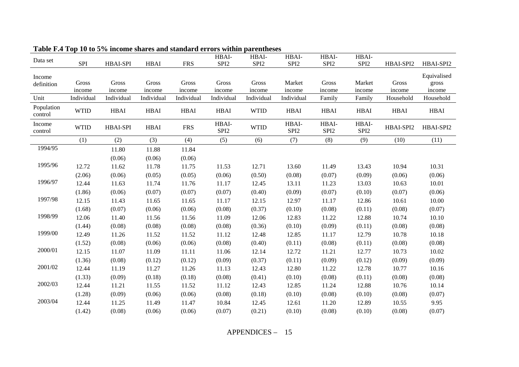| Data set              | <b>SPI</b>  | <b>HBAI-SPI</b> | <b>HBAI</b>  | <b>FRS</b>  | HBAI-<br>SPI <sub>2</sub> | HBAI-<br>SPI <sub>2</sub> | HBAI-<br>SPI <sub>2</sub> | HBAI-<br>SPI <sub>2</sub> | HBAI-<br>SPI <sub>2</sub> | HBAI-SPI2   | HBAI-SPI2   |
|-----------------------|-------------|-----------------|--------------|-------------|---------------------------|---------------------------|---------------------------|---------------------------|---------------------------|-------------|-------------|
|                       |             |                 |              |             |                           |                           |                           |                           |                           |             |             |
| Income                |             |                 |              |             |                           |                           |                           |                           |                           |             | Equivalised |
| definition            | Gross       | Gross           | Gross        | Gross       | Gross                     | Gross                     | Market                    | Gross                     | Market                    | Gross       | gross       |
|                       | income      | income          | income       | income      | income                    | income                    | income                    | income                    | income                    | income      | income      |
| Unit                  | Individual  | Individual      | Individual   | Individual  | Individual                | Individual                | Individual                | Family                    | Family                    | Household   | Household   |
| Population<br>control | <b>WTID</b> | <b>HBAI</b>     | ${\bf HBAI}$ | <b>HBAI</b> | <b>HBAI</b>               | <b>WTID</b>               | <b>HBAI</b>               | <b>HBAI</b>               | <b>HBAI</b>               | <b>HBAI</b> | <b>HBAI</b> |
| Income<br>control     | <b>WTID</b> | <b>HBAI-SPI</b> | <b>HBAI</b>  | <b>FRS</b>  | HBAI-<br>SPI <sub>2</sub> | <b>WTID</b>               | HBAI-<br>SPI <sub>2</sub> | HBAI-<br>SPI <sub>2</sub> | HBAI-<br>SPI <sub>2</sub> | HBAI-SPI2   | HBAI-SPI2   |
|                       | (1)         | (2)             | (3)          | (4)         | (5)                       | (6)                       | (7)                       | (8)                       | (9)                       | (10)        | (11)        |
| 1994/95               |             | 11.80           | 11.88        | 11.84       |                           |                           |                           |                           |                           |             |             |
|                       |             | (0.06)          | (0.06)       | (0.06)      |                           |                           |                           |                           |                           |             |             |
| 1995/96               | 12.72       | 11.62           | 11.78        | 11.75       | 11.53                     | 12.71                     | 13.60                     | 11.49                     | 13.43                     | 10.94       | 10.31       |
|                       | (2.06)      | (0.06)          | (0.05)       | (0.05)      | (0.06)                    | (0.50)                    | (0.08)                    | (0.07)                    | (0.09)                    | (0.06)      | (0.06)      |
| 1996/97               | 12.44       | 11.63           | 11.74        | 11.76       | 11.17                     | 12.45                     | 13.11                     | 11.23                     | 13.03                     | 10.63       | 10.01       |
|                       | (1.86)      | (0.06)          | (0.07)       | (0.07)      | (0.07)                    | (0.40)                    | (0.09)                    | (0.07)                    | (0.10)                    | (0.07)      | (0.06)      |
| 1997/98               | 12.15       | 11.43           | 11.65        | 11.65       | 11.17                     | 12.15                     | 12.97                     | 11.17                     | 12.86                     | 10.61       | 10.00       |
|                       | (1.68)      | (0.07)          | (0.06)       | (0.06)      | (0.08)                    | (0.37)                    | (0.10)                    | (0.08)                    | (0.11)                    | (0.08)      | (0.07)      |
| 1998/99               | 12.06       | 11.40           | 11.56        | 11.56       | 11.09                     | 12.06                     | 12.83                     | 11.22                     | 12.88                     | 10.74       | 10.10       |
|                       | (1.44)      | (0.08)          | (0.08)       | (0.08)      | (0.08)                    | (0.36)                    | (0.10)                    | (0.09)                    | (0.11)                    | (0.08)      | (0.08)      |
| 1999/00               | 12.49       | 11.26           | 11.52        | 11.52       | 11.12                     | 12.48                     | 12.85                     | 11.17                     | 12.79                     | 10.78       | 10.18       |
|                       | (1.52)      | (0.08)          | (0.06)       | (0.06)      | (0.08)                    | (0.40)                    | (0.11)                    | (0.08)                    | (0.11)                    | (0.08)      | (0.08)      |
| 2000/01               | 12.15       | 11.07           | 11.09        | 11.11       | 11.06                     | 12.14                     | 12.72                     | 11.21                     | 12.77                     | 10.73       | 10.02       |
|                       | (1.36)      | (0.08)          | (0.12)       | (0.12)      | (0.09)                    | (0.37)                    | (0.11)                    | (0.09)                    | (0.12)                    | (0.09)      | (0.09)      |
| 2001/02               | 12.44       | 11.19           | 11.27        | 11.26       | 11.13                     | 12.43                     | 12.80                     | 11.22                     | 12.78                     | 10.77       | 10.16       |
|                       | (1.33)      | (0.09)          | (0.18)       | (0.18)      | (0.08)                    | (0.41)                    | (0.10)                    | (0.08)                    | (0.11)                    | (0.08)      | (0.08)      |
| 2002/03               | 12.44       | 11.21           | 11.55        | 11.52       | 11.12                     | 12.43                     | 12.85                     | 11.24                     | 12.88                     | 10.76       | 10.14       |
|                       | (1.28)      | (0.09)          | (0.06)       | (0.06)      | (0.08)                    | (0.18)                    | (0.10)                    | (0.08)                    | (0.10)                    | (0.08)      | (0.07)      |
| 2003/04               | 12.44       | 11.25           | 11.49        | 11.47       | 10.84                     | 12.45                     | 12.61                     | 11.20                     | 12.89                     | 10.55       | 9.95        |
|                       | (1.42)      | (0.08)          | (0.06)       | (0.06)      | (0.07)                    | (0.21)                    | (0.10)                    | (0.08)                    | (0.10)                    | (0.08)      | (0.07)      |

**Table F.4 Top 10 to 5% income shares and standard errors within parentheses** 

APPENDICES – 15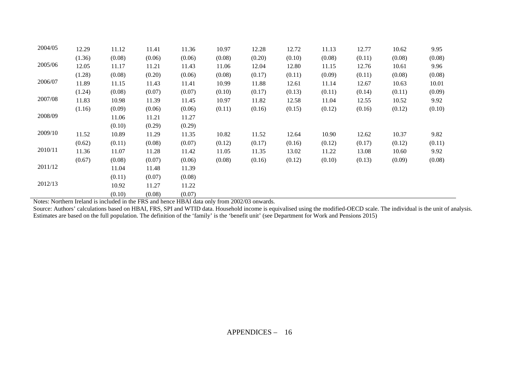| 2004/05 | 12.29  | 11.12  | 11.41  | 11.36  | 10.97  | 12.28  | 12.72  | 11.13  | 12.77  | 10.62  | 9.95   |
|---------|--------|--------|--------|--------|--------|--------|--------|--------|--------|--------|--------|
|         | (1.36) | (0.08) | (0.06) | (0.06) | (0.08) | (0.20) | (0.10) | (0.08) | (0.11) | (0.08) | (0.08) |
| 2005/06 | 12.05  | 11.17  | 11.21  | 11.43  | 11.06  | 12.04  | 12.80  | 11.15  | 12.76  | 10.61  | 9.96   |
|         | (1.28) | (0.08) | (0.20) | (0.06) | (0.08) | (0.17) | (0.11) | (0.09) | (0.11) | (0.08) | (0.08) |
| 2006/07 | 11.89  | 11.15  | 11.43  | 11.41  | 10.99  | 11.88  | 12.61  | 11.14  | 12.67  | 10.63  | 10.01  |
|         | (1.24) | (0.08) | (0.07) | (0.07) | (0.10) | (0.17) | (0.13) | (0.11) | (0.14) | (0.11) | (0.09) |
| 2007/08 | 11.83  | 10.98  | 11.39  | 11.45  | 10.97  | 11.82  | 12.58  | 11.04  | 12.55  | 10.52  | 9.92   |
|         | (1.16) | (0.09) | (0.06) | (0.06) | (0.11) | (0.16) | (0.15) | (0.12) | (0.16) | (0.12) | (0.10) |
| 2008/09 |        | 11.06  | 11.21  | 11.27  |        |        |        |        |        |        |        |
|         |        | (0.10) | (0.29) | (0.29) |        |        |        |        |        |        |        |
| 2009/10 | 11.52  | 10.89  | 11.29  | 11.35  | 10.82  | 11.52  | 12.64  | 10.90  | 12.62  | 10.37  | 9.82   |
|         | (0.62) | (0.11) | (0.08) | (0.07) | (0.12) | (0.17) | (0.16) | (0.12) | (0.17) | (0.12) | (0.11) |
| 2010/11 | 11.36  | 11.07  | 11.28  | 11.42  | 11.05  | 11.35  | 13.02  | 11.22  | 13.08  | 10.60  | 9.92   |
|         | (0.67) | (0.08) | (0.07) | (0.06) | (0.08) | (0.16) | (0.12) | (0.10) | (0.13) | (0.09) | (0.08) |
| 2011/12 |        | 11.04  | 11.48  | 11.39  |        |        |        |        |        |        |        |
|         |        | (0.11) | (0.07) | (0.08) |        |        |        |        |        |        |        |
| 2012/13 |        | 10.92  | 11.27  | 11.22  |        |        |        |        |        |        |        |
|         |        | (0.10) | (0.08) | (0.07) |        |        |        |        |        |        |        |

Notes: Northern Ireland is included in the FRS and hence HBAI data only from 2002/03 onwards.

Source: Authors' calculations based on HBAI, FRS, SPI and WTID data. Household income is equivalised using the modified-OECD scale. The individual is the unit of analysis. Estimates are based on the full population. The definition of the 'family' is the 'benefit unit' (see Department for Work and Pensions 2015)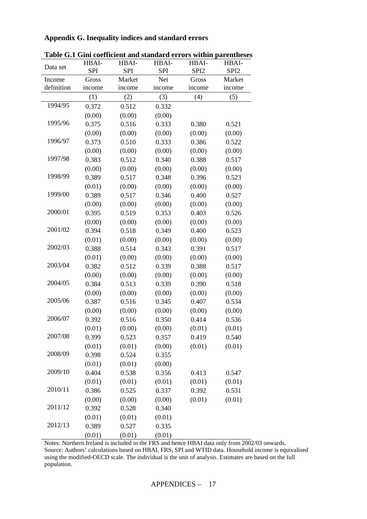## **Appendix G. Inequality indices and standard errors**

|            | HBAI-      | HBAI-      | HBAI-      | HBAI-            | HBAI-            |
|------------|------------|------------|------------|------------------|------------------|
| Data set   | <b>SPI</b> | <b>SPI</b> | <b>SPI</b> | SPI <sub>2</sub> | SPI <sub>2</sub> |
| Income     | Gross      | Market     | Net        | Gross            | Market           |
| definition | income     | income     | income     | income           | income           |
|            | (1)        | (2)        | (3)        | (4)              | (5)              |
| 1994/95    | 0.372      | 0.512      | 0.332      |                  |                  |
|            | (0.00)     | (0.00)     | (0.00)     |                  |                  |
| 1995/96    | 0.375      | 0.516      | 0.333      | 0.380            | 0.521            |
|            | (0.00)     | (0.00)     | (0.00)     | (0.00)           | (0.00)           |
| 1996/97    | 0.373      | 0.510      | 0.333      | 0.386            | 0.522            |
|            | (0.00)     | (0.00)     | (0.00)     | (0.00)           | (0.00)           |
| 1997/98    | 0.383      | 0.512      | 0.340      | 0.388            | 0.517            |
|            | (0.00)     | (0.00)     | (0.00)     | (0.00)           | (0.00)           |
| 1998/99    | 0.389      | 0.517      | 0.348      | 0.396            | 0.523            |
|            | (0.01)     | (0.00)     | (0.00)     | (0.00)           | (0.00)           |
| 1999/00    | 0.389      | 0.517      | 0.346      | 0.400            | 0.527            |
|            | (0.00)     | (0.00)     | (0.00)     | (0.00)           | (0.00)           |
| 2000/01    | 0.395      | 0.519      | 0.353      | 0.403            | 0.526            |
|            | (0.00)     | (0.00)     | (0.00)     | (0.00)           | (0.00)           |
| 2001/02    | 0.394      | 0.518      | 0.349      | 0.400            | 0.523            |
|            | (0.01)     | (0.00)     | (0.00)     | (0.00)           | (0.00)           |
| 2002/03    | 0.388      | 0.514      | 0.343      | 0.391            | 0.517            |
|            | (0.01)     | (0.00)     | (0.00)     | (0.00)           | (0.00)           |
| 2003/04    | 0.382      | 0.512      | 0.339      | 0.388            | 0.517            |
|            | (0.00)     | (0.00)     | (0.00)     | (0.00)           | (0.00)           |
| 2004/05    | 0.384      | 0.513      | 0.339      | 0.390            | 0.518            |
|            | (0.00)     | (0.00)     | (0.00)     | (0.00)           | (0.00)           |
| 2005/06    | 0.387      | 0.516      | 0.345      | 0.407            | 0.534            |
|            | (0.00)     | (0.00)     | (0.00)     | (0.00)           | (0.00)           |
| 2006/07    | 0.392      | 0.516      | 0.350      | 0.414            | 0.536            |
|            | (0.01)     | (0.00)     | (0.00)     | (0.01)           | (0.01)           |
| 2007/08    | 0.399      | 0.523      | 0.357      | 0.419            | 0.540            |
|            | (0.01)     | (0.01)     | (0.00)     | (0.01)           | (0.01)           |
| 2008/09    | 0.398      | 0.524      | 0.355      |                  |                  |
|            | (0.01)     | (0.01)     | (0.00)     |                  |                  |
| 2009/10    | 0.404      | 0.538      | 0.356      | 0.413            | 0.547            |
|            | (0.01)     | (0.01)     | (0.01)     | (0.01)           | (0.01)           |
| 2010/11    | 0.386      | 0.525      | 0.337      | 0.392            | 0.531            |
|            | (0.00)     | (0.00)     | (0.00)     | (0.01)           | (0.01)           |
| 2011/12    | 0.392      | 0.528      | 0.340      |                  |                  |
|            | (0.01)     | (0.01)     | (0.01)     |                  |                  |
| 2012/13    | 0.389      | 0.527      | 0.335      |                  |                  |
|            | (0.01)     | (0.01)     | (0.01)     |                  |                  |

**Table G.1 Gini coefficient and standard errors within parentheses**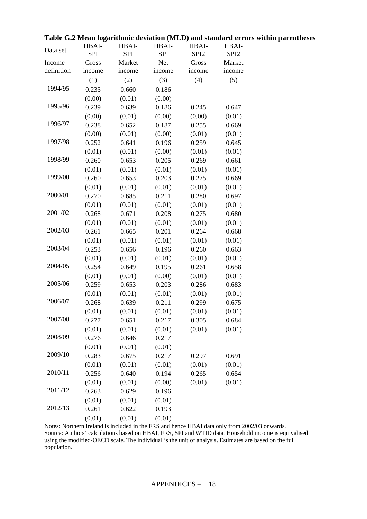| Data set   | HBAI-<br><b>SPI</b> | HBAI-<br><b>SPI</b> | HBAI-<br><b>SPI</b> | HBAI-<br>SPI <sub>2</sub> | HBAI-<br>SPI <sub>2</sub> |
|------------|---------------------|---------------------|---------------------|---------------------------|---------------------------|
| Income     | Gross               | Market              | <b>Net</b>          | Gross                     | Market                    |
| definition | income              | income              | income              | income                    | income                    |
|            | (1)                 | (2)                 | (3)                 | (4)                       | (5)                       |
| 1994/95    | 0.235               | 0.660               | 0.186               |                           |                           |
|            | (0.00)              | (0.01)              | (0.00)              |                           |                           |
| 1995/96    | 0.239               | 0.639               | 0.186               | 0.245                     | 0.647                     |
|            | (0.00)              | (0.01)              | (0.00)              | (0.00)                    | (0.01)                    |
| 1996/97    | 0.238               | 0.652               | 0.187               | 0.255                     | 0.669                     |
|            | (0.00)              | (0.01)              | (0.00)              | (0.01)                    | (0.01)                    |
| 1997/98    | 0.252               | 0.641               | 0.196               | 0.259                     | 0.645                     |
|            | (0.01)              | (0.01)              | (0.00)              | (0.01)                    | (0.01)                    |
| 1998/99    | 0.260               | 0.653               | 0.205               | 0.269                     | 0.661                     |
|            | (0.01)              | (0.01)              | (0.01)              | (0.01)                    | (0.01)                    |
| 1999/00    | 0.260               | 0.653               | 0.203               | 0.275                     | 0.669                     |
|            | (0.01)              | (0.01)              | (0.01)              | (0.01)                    | (0.01)                    |
| 2000/01    | 0.270               | 0.685               | 0.211               | 0.280                     | 0.697                     |
|            | (0.01)              | (0.01)              | (0.01)              | (0.01)                    | (0.01)                    |
| 2001/02    | 0.268               | 0.671               | 0.208               | 0.275                     | 0.680                     |
|            | (0.01)              | (0.01)              | (0.01)              | (0.01)                    | (0.01)                    |
| 2002/03    | 0.261               | 0.665               | 0.201               | 0.264                     | 0.668                     |
|            | (0.01)              | (0.01)              | (0.01)              | (0.01)                    | (0.01)                    |
| 2003/04    | 0.253               | 0.656               | 0.196               | 0.260                     | 0.663                     |
|            | (0.01)              | (0.01)              | (0.01)              | (0.01)                    | (0.01)                    |
| 2004/05    | 0.254               | 0.649               | 0.195               | 0.261                     | 0.658                     |
|            | (0.01)              | (0.01)              | (0.00)              | (0.01)                    | (0.01)                    |
| 2005/06    | 0.259               | 0.653               | 0.203               | 0.286                     | 0.683                     |
|            | (0.01)              | (0.01)              | (0.01)              | (0.01)                    | (0.01)                    |
| 2006/07    | 0.268               | 0.639               | 0.211               | 0.299                     | 0.675                     |
|            | (0.01)              | (0.01)              | (0.01)              | (0.01)                    | (0.01)                    |
| 2007/08    | 0.277               | 0.651               | 0.217               | 0.305                     | 0.684                     |
|            | (0.01)              | (0.01)              | (0.01)              | (0.01)                    | (0.01)                    |
| 2008/09    | 0.276               | 0.646               | 0.217               |                           |                           |
|            | (0.01)              | (0.01)              | (0.01)              |                           |                           |
| 2009/10    | 0.283               | 0.675               | 0.217               | 0.297                     | 0.691                     |
|            | (0.01)              | (0.01)              | (0.01)              | (0.01)                    | (0.01)                    |
| 2010/11    | 0.256               | 0.640               | 0.194               | 0.265                     | 0.654                     |
|            | (0.01)              | (0.01)              | (0.00)              | (0.01)                    | (0.01)                    |
| 2011/12    | 0.263               | 0.629               | 0.196               |                           |                           |
|            | (0.01)              | (0.01)              | (0.01)              |                           |                           |
| 2012/13    | 0.261               | 0.622               | 0.193               |                           |                           |
|            | (0.01)              | (0.01)              | (0.01)              |                           |                           |

**Table G.2 Mean logarithmic deviation (MLD) and standard errors within parentheses**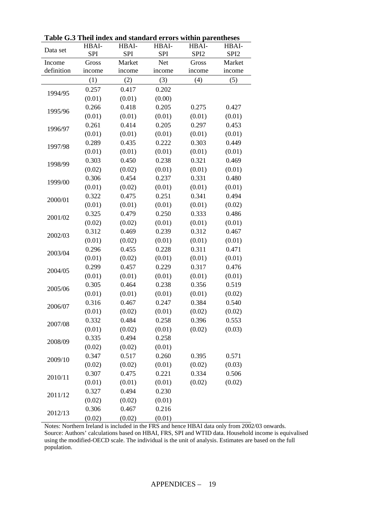| Data set   | HBAI-      | HBAI-      | HBAI-      | HBAI-            | HBAI-            |
|------------|------------|------------|------------|------------------|------------------|
|            | <b>SPI</b> | <b>SPI</b> | <b>SPI</b> | SPI <sub>2</sub> | SPI <sub>2</sub> |
| Income     | Gross      | Market     | Net        | Gross            | Market           |
| definition | income     | income     | income     | income           | income           |
|            | (1)        | (2)        | (3)        | (4)              | (5)              |
| 1994/95    | 0.257      | 0.417      | 0.202      |                  |                  |
|            | (0.01)     | (0.01)     | (0.00)     |                  |                  |
| 1995/96    | 0.266      | 0.418      | 0.205      | 0.275            | 0.427            |
|            | (0.01)     | (0.01)     | (0.01)     | (0.01)           | (0.01)           |
| 1996/97    | 0.261      | 0.414      | 0.205      | 0.297            | 0.453            |
|            | (0.01)     | (0.01)     | (0.01)     | (0.01)           | (0.01)           |
| 1997/98    | 0.289      | 0.435      | 0.222      | 0.303            | 0.449            |
|            | (0.01)     | (0.01)     | (0.01)     | (0.01)           | (0.01)           |
| 1998/99    | 0.303      | 0.450      | 0.238      | 0.321            | 0.469            |
|            | (0.02)     | (0.02)     | (0.01)     | (0.01)           | (0.01)           |
| 1999/00    | 0.306      | 0.454      | 0.237      | 0.331            | 0.480            |
|            | (0.01)     | (0.02)     | (0.01)     | (0.01)           | (0.01)           |
| 2000/01    | 0.322      | 0.475      | 0.251      | 0.341            | 0.494            |
|            | (0.01)     | (0.01)     | (0.01)     | (0.01)           | (0.02)           |
| 2001/02    | 0.325      | 0.479      | 0.250      | 0.333            | 0.486            |
|            | (0.02)     | (0.02)     | (0.01)     | (0.01)           | (0.01)           |
| 2002/03    | 0.312      | 0.469      | 0.239      | 0.312            | 0.467            |
|            | (0.01)     | (0.02)     | (0.01)     | (0.01)           | (0.01)           |
| 2003/04    | 0.296      | 0.455      | 0.228      | 0.311            | 0.471            |
|            | (0.01)     | (0.02)     | (0.01)     | (0.01)           | (0.01)           |
| 2004/05    | 0.299      | 0.457      | 0.229      | 0.317            | 0.476            |
|            | (0.01)     | (0.01)     | (0.01)     | (0.01)           | (0.01)           |
| 2005/06    | 0.305      | 0.464      | 0.238      | 0.356            | 0.519            |
|            | (0.01)     | (0.01)     | (0.01)     | (0.01)           | (0.02)           |
| 2006/07    | 0.316      | 0.467      | 0.247      | 0.384            | 0.540            |
|            | (0.01)     | (0.02)     | (0.01)     | (0.02)           | (0.02)           |
| 2007/08    | 0.332      | 0.484      | 0.258      | 0.396            | 0.553            |
|            | (0.01)     | (0.02)     | (0.01)     | (0.02)           | (0.03)           |
| 2008/09    | 0.335      | 0.494      | 0.258      |                  |                  |
|            | (0.02)     | (0.02)     | (0.01)     |                  |                  |
|            | 0.347      | 0.517      | 0.260      | 0.395            | 0.571            |
| 2009/10    | (0.02)     | (0.02)     | (0.01)     | (0.02)           | (0.03)           |
| 2010/11    | 0.307      | 0.475      | 0.221      | 0.334            | 0.506            |
|            | (0.01)     | (0.01)     | (0.01)     | (0.02)           | (0.02)           |
|            | 0.327      | 0.494      | 0.230      |                  |                  |
| 2011/12    | (0.02)     | (0.02)     | (0.01)     |                  |                  |
|            | 0.306      | 0.467      | 0.216      |                  |                  |
| 2012/13    | (0.02)     | (0.02)     | (0.01)     |                  |                  |

**Table G.3 Theil index and standard errors within parentheses**